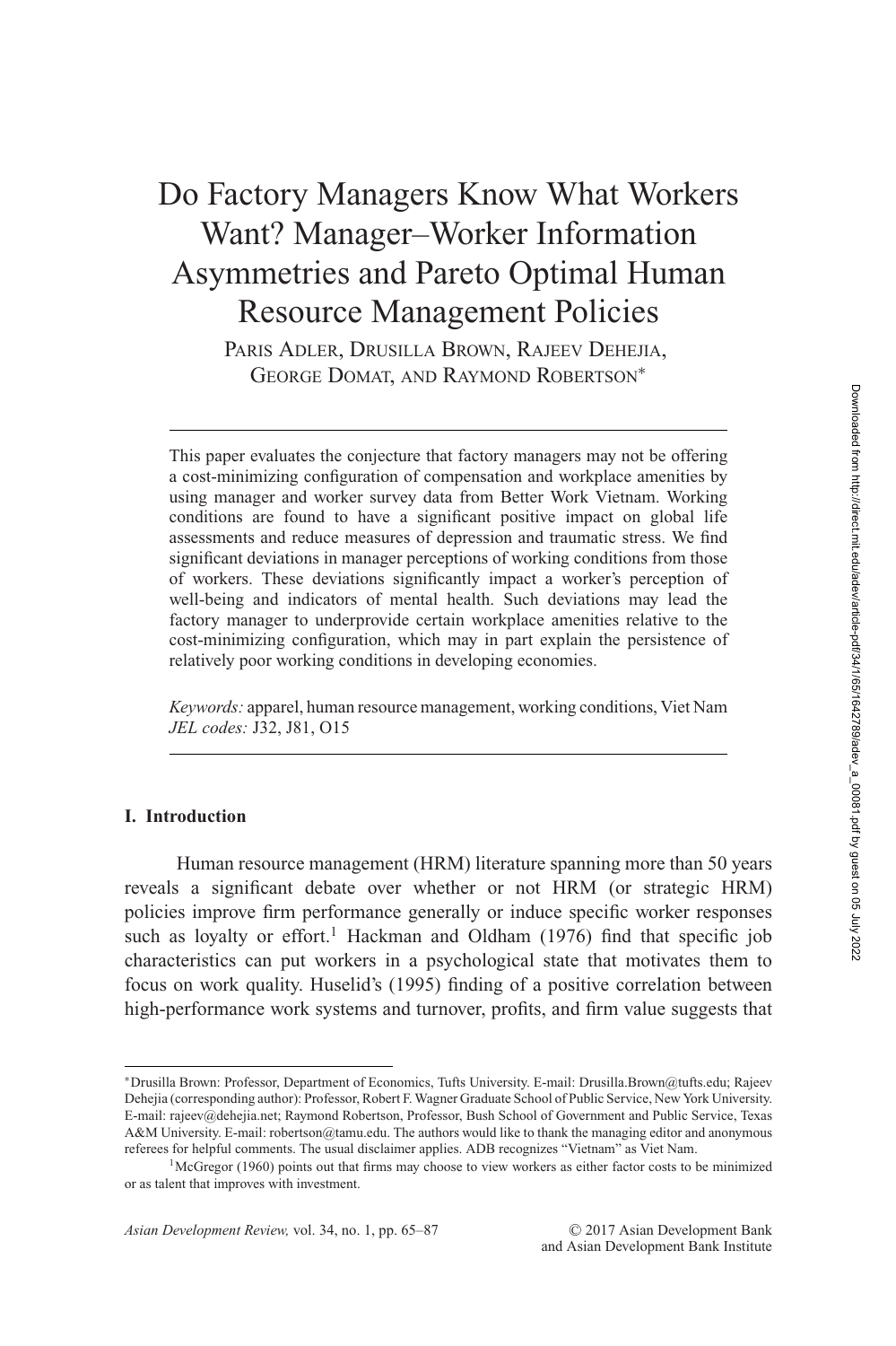# Do Factory Managers Know What Workers Want? Manager–Worker Information Asymmetries and Pareto Optimal Human Resource Management Policies

PARIS ADLER, DRUSILLA BROWN, RAJEEV DEHEJIA, GEORGE DOMAT, AND RAYMOND ROBERTSON<sup>∗</sup>

This paper evaluates the conjecture that factory managers may not be offering a cost-minimizing configuration of compensation and workplace amenities by using manager and worker survey data from Better Work Vietnam. Working conditions are found to have a significant positive impact on global life assessments and reduce measures of depression and traumatic stress. We find significant deviations in manager perceptions of working conditions from those of workers. These deviations significantly impact a worker's perception of well-being and indicators of mental health. Such deviations may lead the factory manager to underprovide certain workplace amenities relative to the cost-minimizing configuration, which may in part explain the persistence of relatively poor working conditions in developing economies.

*Keywords:* apparel, human resource management, working conditions, Viet Nam *JEL codes:* J32, J81, O15

#### **I. Introduction**

Human resource management (HRM) literature spanning more than 50 years reveals a significant debate over whether or not HRM (or strategic HRM) policies improve firm performance generally or induce specific worker responses such as loyalty or effort.<sup>1</sup> Hackman and Oldham (1976) find that specific job characteristics can put workers in a psychological state that motivates them to focus on work quality. Huselid's (1995) finding of a positive correlation between high-performance work systems and turnover, profits, and firm value suggests that

<sup>∗</sup>Drusilla Brown: Professor, Department of Economics, Tufts University. E-mail: Drusilla.Brown@tufts.edu; Rajeev Dehejia (corresponding author): Professor, Robert F. Wagner Graduate School of Public Service, New York University. E-mail: rajeev@dehejia.net; Raymond Robertson, Professor, Bush School of Government and Public Service, Texas A&M University. E-mail: robertson@tamu.edu. The authors would like to thank the managing editor and anonymous referees for helpful comments. The usual disclaimer applies. ADB recognizes "Vietnam" as Viet Nam.

<sup>&</sup>lt;sup>1</sup>McGregor (1960) points out that firms may choose to view workers as either factor costs to be minimized or as talent that improves with investment.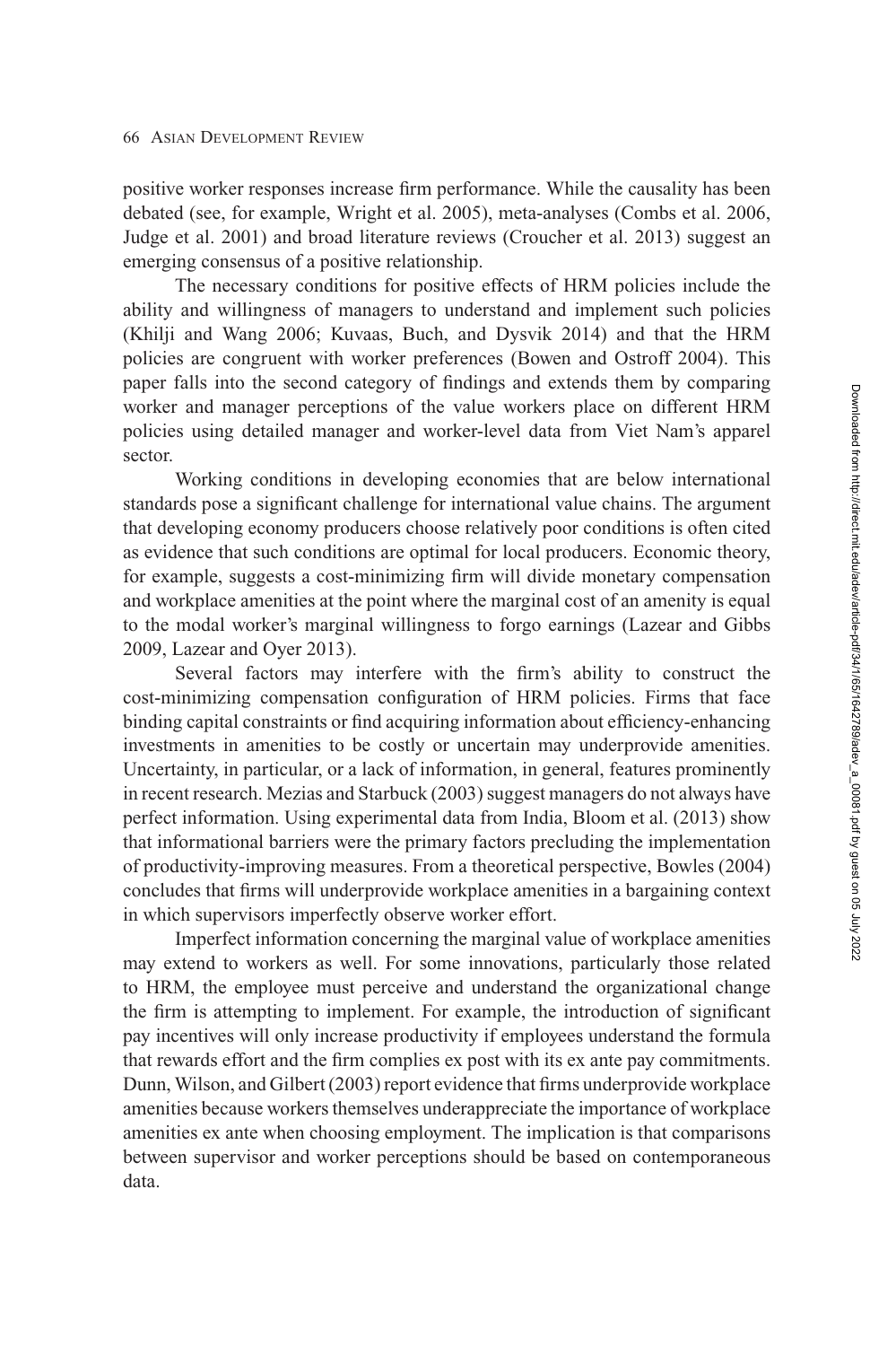#### 66 ASIAN DEVELOPMENT REVIEW

positive worker responses increase firm performance. While the causality has been debated (see, for example, Wright et al. 2005), meta-analyses (Combs et al. 2006, Judge et al. 2001) and broad literature reviews (Croucher et al. 2013) suggest an emerging consensus of a positive relationship.

The necessary conditions for positive effects of HRM policies include the ability and willingness of managers to understand and implement such policies (Khilji and Wang 2006; Kuvaas, Buch, and Dysvik 2014) and that the HRM policies are congruent with worker preferences (Bowen and Ostroff 2004). This paper falls into the second category of findings and extends them by comparing worker and manager perceptions of the value workers place on different HRM policies using detailed manager and worker-level data from Viet Nam's apparel sector.

Working conditions in developing economies that are below international standards pose a significant challenge for international value chains. The argument that developing economy producers choose relatively poor conditions is often cited as evidence that such conditions are optimal for local producers. Economic theory, for example, suggests a cost-minimizing firm will divide monetary compensation and workplace amenities at the point where the marginal cost of an amenity is equal to the modal worker's marginal willingness to forgo earnings (Lazear and Gibbs 2009, Lazear and Oyer 2013).

Several factors may interfere with the firm's ability to construct the cost-minimizing compensation configuration of HRM policies. Firms that face binding capital constraints or find acquiring information about efficiency-enhancing investments in amenities to be costly or uncertain may underprovide amenities. Uncertainty, in particular, or a lack of information, in general, features prominently in recent research. Mezias and Starbuck (2003) suggest managers do not always have perfect information. Using experimental data from India, Bloom et al. (2013) show that informational barriers were the primary factors precluding the implementation of productivity-improving measures. From a theoretical perspective, Bowles (2004) concludes that firms will underprovide workplace amenities in a bargaining context in which supervisors imperfectly observe worker effort.

Imperfect information concerning the marginal value of workplace amenities may extend to workers as well. For some innovations, particularly those related to HRM, the employee must perceive and understand the organizational change the firm is attempting to implement. For example, the introduction of significant pay incentives will only increase productivity if employees understand the formula that rewards effort and the firm complies ex post with its ex ante pay commitments. Dunn, Wilson, and Gilbert (2003) report evidence that firms underprovide workplace amenities because workers themselves underappreciate the importance of workplace amenities ex ante when choosing employment. The implication is that comparisons between supervisor and worker perceptions should be based on contemporaneous data.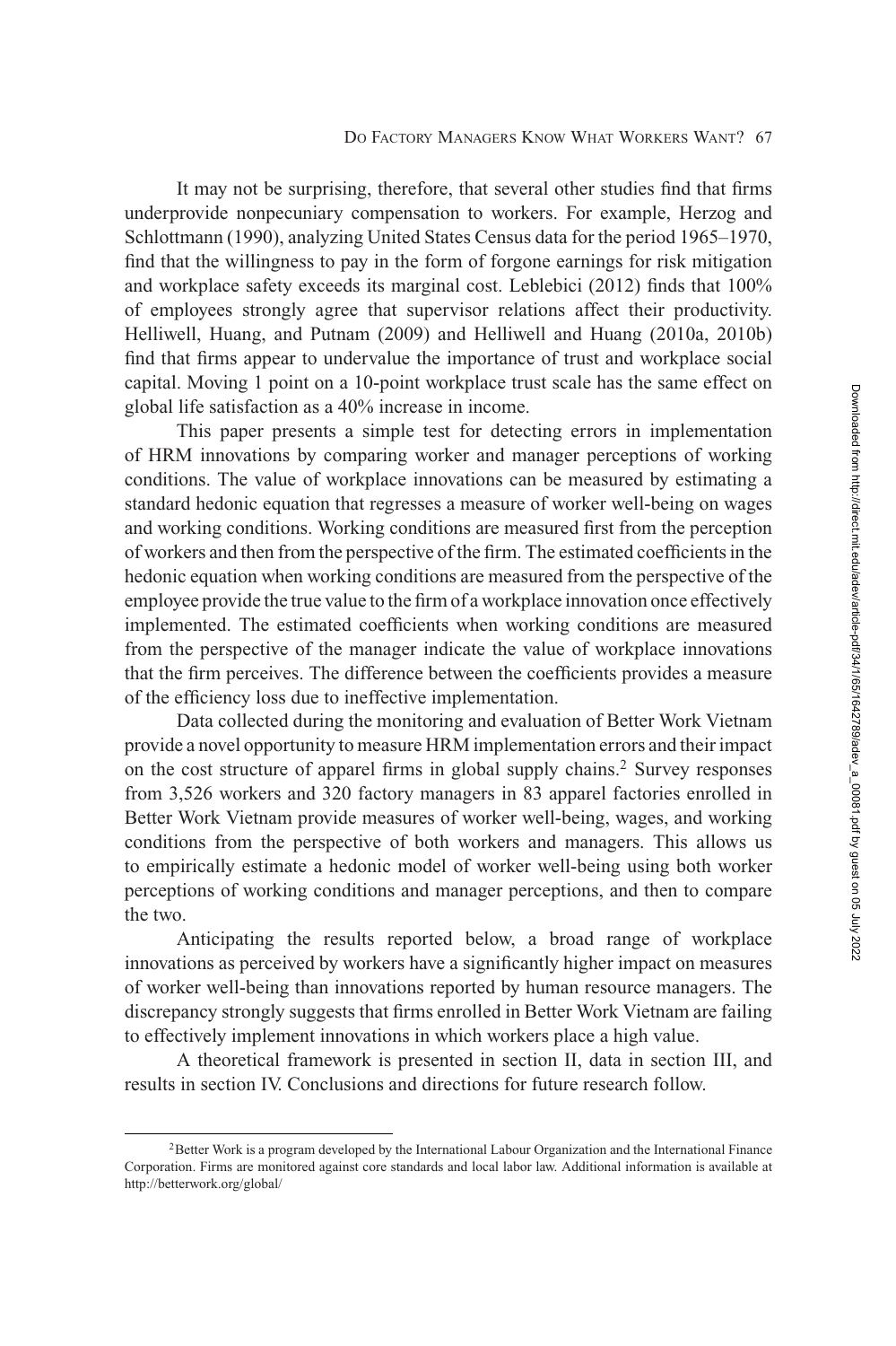It may not be surprising, therefore, that several other studies find that firms underprovide nonpecuniary compensation to workers. For example, Herzog and Schlottmann (1990), analyzing United States Census data for the period 1965–1970, find that the willingness to pay in the form of forgone earnings for risk mitigation and workplace safety exceeds its marginal cost. Leblebici (2012) finds that 100% of employees strongly agree that supervisor relations affect their productivity. Helliwell, Huang, and Putnam (2009) and Helliwell and Huang (2010a, 2010b) find that firms appear to undervalue the importance of trust and workplace social capital. Moving 1 point on a 10-point workplace trust scale has the same effect on global life satisfaction as a 40% increase in income.

This paper presents a simple test for detecting errors in implementation of HRM innovations by comparing worker and manager perceptions of working conditions. The value of workplace innovations can be measured by estimating a standard hedonic equation that regresses a measure of worker well-being on wages and working conditions. Working conditions are measured first from the perception of workers and then from the perspective of the firm. The estimated coefficients in the hedonic equation when working conditions are measured from the perspective of the employee provide the true value to the firm of a workplace innovation once effectively implemented. The estimated coefficients when working conditions are measured from the perspective of the manager indicate the value of workplace innovations that the firm perceives. The difference between the coefficients provides a measure of the efficiency loss due to ineffective implementation.

Data collected during the monitoring and evaluation of Better Work Vietnam provide a novel opportunity to measure HRM implementation errors and their impact on the cost structure of apparel firms in global supply chains.2 Survey responses from 3,526 workers and 320 factory managers in 83 apparel factories enrolled in Better Work Vietnam provide measures of worker well-being, wages, and working conditions from the perspective of both workers and managers. This allows us to empirically estimate a hedonic model of worker well-being using both worker perceptions of working conditions and manager perceptions, and then to compare the two.

Anticipating the results reported below, a broad range of workplace innovations as perceived by workers have a significantly higher impact on measures of worker well-being than innovations reported by human resource managers. The discrepancy strongly suggests that firms enrolled in Better Work Vietnam are failing to effectively implement innovations in which workers place a high value.

A theoretical framework is presented in section II, data in section III, and results in section IV. Conclusions and directions for future research follow.

<sup>&</sup>lt;sup>2</sup>Better Work is a program developed by the International Labour Organization and the International Finance Corporation. Firms are monitored against core standards and local labor law. Additional information is available at http://betterwork.org/global/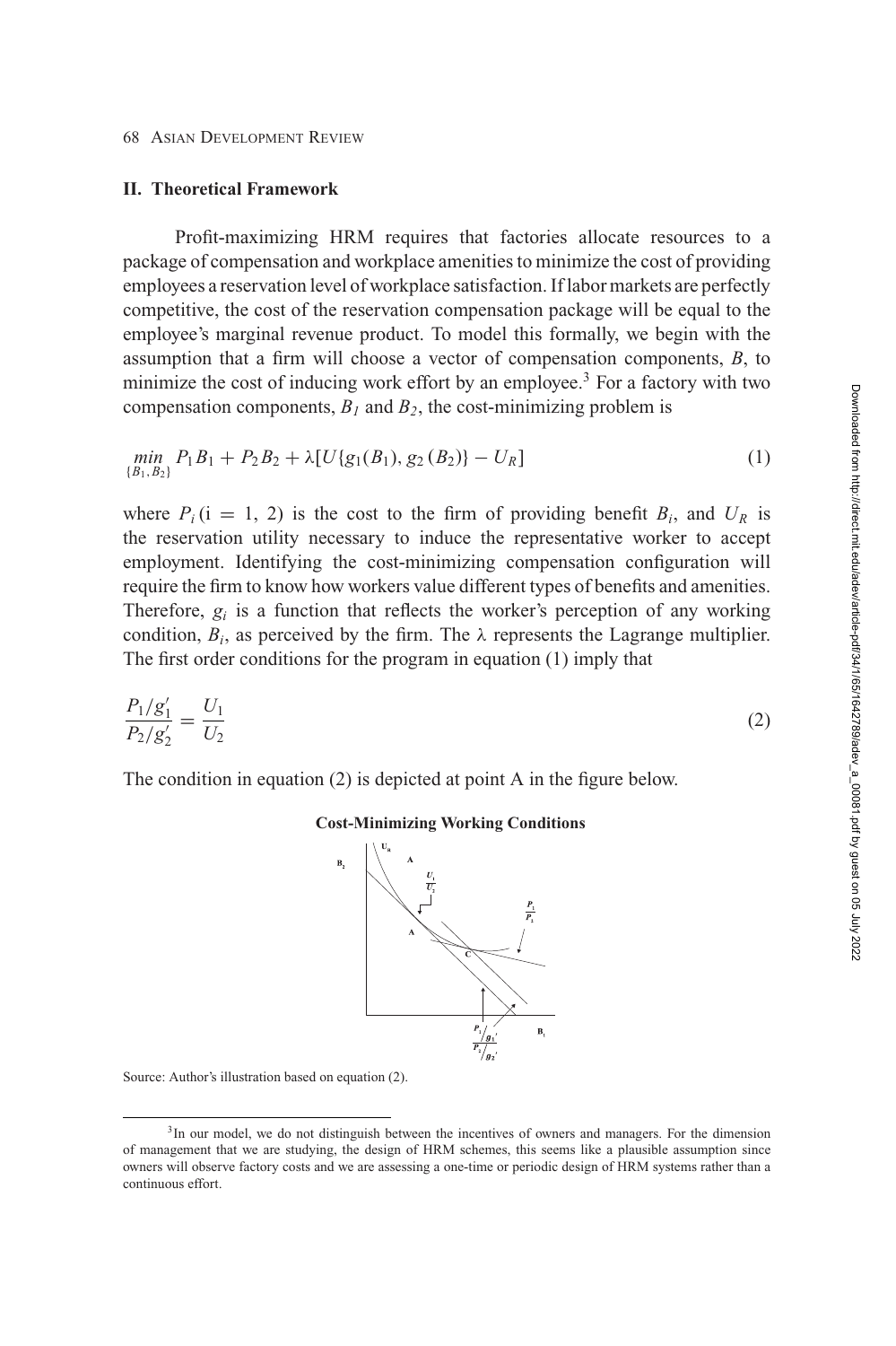#### **II. Theoretical Framework**

Profit-maximizing HRM requires that factories allocate resources to a package of compensation and workplace amenities to minimize the cost of providing employees a reservation level of workplace satisfaction. If labor markets are perfectly competitive, the cost of the reservation compensation package will be equal to the employee's marginal revenue product. To model this formally, we begin with the assumption that a firm will choose a vector of compensation components, *B*, to minimize the cost of inducing work effort by an employee.<sup>3</sup> For a factory with two compensation components,  $B_1$  and  $B_2$ , the cost-minimizing problem is

$$
\min_{\{B_1, B_2\}} P_1 B_1 + P_2 B_2 + \lambda [U\{g_1(B_1), g_2(B_2)\} - U_R] \tag{1}
$$

where  $P_i$  (i = 1, 2) is the cost to the firm of providing benefit  $B_i$ , and  $U_R$  is the reservation utility necessary to induce the representative worker to accept employment. Identifying the cost-minimizing compensation configuration will require the firm to know how workers value different types of benefits and amenities. Therefore,  $g_i$  is a function that reflects the worker's perception of any working condition,  $B_i$ , as perceived by the firm. The  $\lambda$  represents the Lagrange multiplier. The first order conditions for the program in equation (1) imply that

$$
\frac{P_1/g_1'}{P_2/g_2'} = \frac{U_1}{U_2} \tag{2}
$$

The condition in equation (2) is depicted at point A in the figure below.

## **Cost-Minimizing Working Conditions**



Source: Author's illustration based on equation (2).

<sup>&</sup>lt;sup>3</sup>In our model, we do not distinguish between the incentives of owners and managers. For the dimension of management that we are studying, the design of HRM schemes, this seems like a plausible assumption since owners will observe factory costs and we are assessing a one-time or periodic design of HRM systems rather than a continuous effort.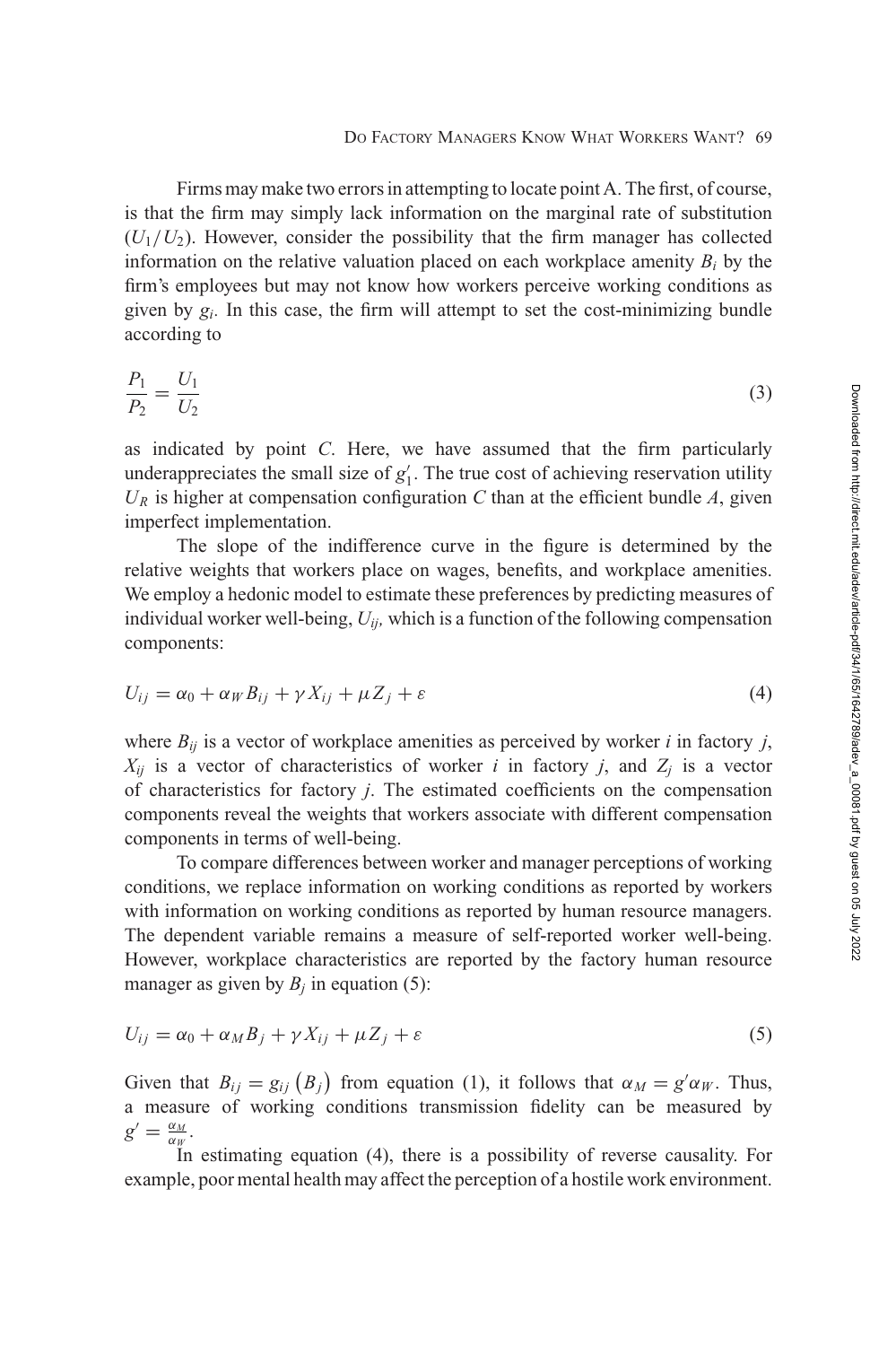Firms may make two errors in attempting to locate point A. The first, of course, is that the firm may simply lack information on the marginal rate of substitution  $(U_1/U_2)$ . However, consider the possibility that the firm manager has collected information on the relative valuation placed on each workplace amenity  $B_i$  by the firm's employees but may not know how workers perceive working conditions as given by  $g_i$ . In this case, the firm will attempt to set the cost-minimizing bundle according to

$$
\frac{P_1}{P_2} = \frac{U_1}{U_2} \tag{3}
$$

as indicated by point *C*. Here, we have assumed that the firm particularly underappreciates the small size of  $g'_{1}$ . The true cost of achieving reservation utility  $U_R$  is higher at compensation configuration *C* than at the efficient bundle *A*, given imperfect implementation.

The slope of the indifference curve in the figure is determined by the relative weights that workers place on wages, benefits, and workplace amenities. We employ a hedonic model to estimate these preferences by predicting measures of individual worker well-being, *Uij,* which is a function of the following compensation components:

$$
U_{ij} = \alpha_0 + \alpha_W B_{ij} + \gamma X_{ij} + \mu Z_j + \varepsilon
$$
\n<sup>(4)</sup>

where  $B_{ij}$  is a vector of workplace amenities as perceived by worker *i* in factory *j*,  $X_{ij}$  is a vector of characteristics of worker *i* in factory *j*, and  $Z_i$  is a vector of characteristics for factory *j*. The estimated coefficients on the compensation components reveal the weights that workers associate with different compensation components in terms of well-being.

To compare differences between worker and manager perceptions of working conditions, we replace information on working conditions as reported by workers with information on working conditions as reported by human resource managers. The dependent variable remains a measure of self-reported worker well-being. However, workplace characteristics are reported by the factory human resource manager as given by  $B_i$  in equation (5):

$$
U_{ij} = \alpha_0 + \alpha_M B_j + \gamma X_{ij} + \mu Z_j + \varepsilon \tag{5}
$$

Given that  $B_{ij} = g_{ij} (B_j)$  from equation (1), it follows that  $\alpha_M = g' \alpha_W$ . Thus, a measure of working conditions transmission fidelity can be measured by  $g' = \frac{\alpha_M}{\alpha_W}.$ 

In estimating equation (4), there is a possibility of reverse causality. For example, poor mental health may affect the perception of a hostile work environment.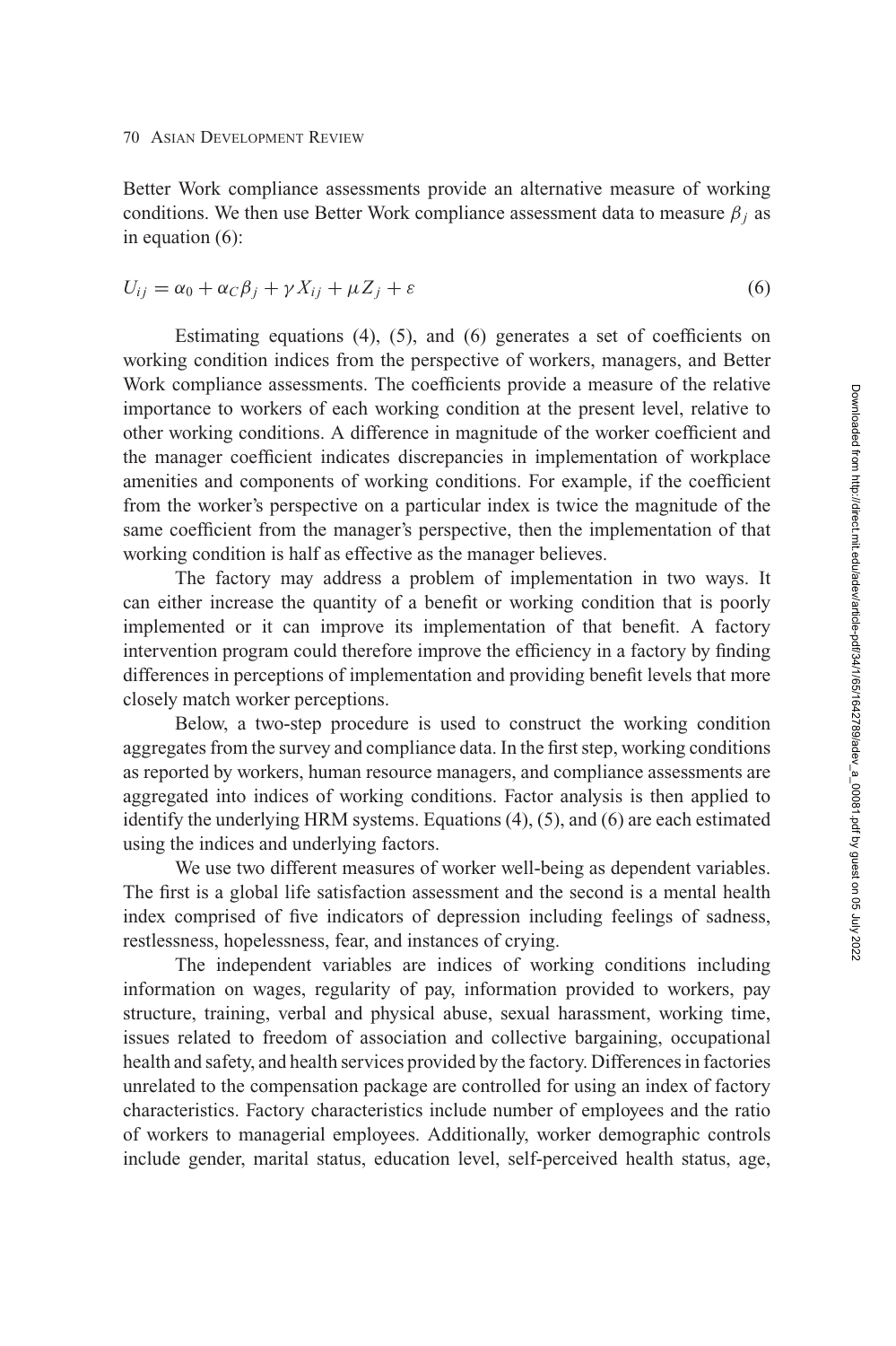Better Work compliance assessments provide an alternative measure of working conditions. We then use Better Work compliance assessment data to measure  $\beta_i$  as in equation (6):

$$
U_{ij} = \alpha_0 + \alpha_C \beta_j + \gamma X_{ij} + \mu Z_j + \varepsilon \tag{6}
$$

Estimating equations (4), (5), and (6) generates a set of coefficients on working condition indices from the perspective of workers, managers, and Better Work compliance assessments. The coefficients provide a measure of the relative importance to workers of each working condition at the present level, relative to other working conditions. A difference in magnitude of the worker coefficient and the manager coefficient indicates discrepancies in implementation of workplace amenities and components of working conditions. For example, if the coefficient from the worker's perspective on a particular index is twice the magnitude of the same coefficient from the manager's perspective, then the implementation of that working condition is half as effective as the manager believes.

The factory may address a problem of implementation in two ways. It can either increase the quantity of a benefit or working condition that is poorly implemented or it can improve its implementation of that benefit. A factory intervention program could therefore improve the efficiency in a factory by finding differences in perceptions of implementation and providing benefit levels that more closely match worker perceptions.

Below, a two-step procedure is used to construct the working condition aggregates from the survey and compliance data. In the first step, working conditions as reported by workers, human resource managers, and compliance assessments are aggregated into indices of working conditions. Factor analysis is then applied to identify the underlying HRM systems. Equations (4), (5), and (6) are each estimated using the indices and underlying factors.

We use two different measures of worker well-being as dependent variables. The first is a global life satisfaction assessment and the second is a mental health index comprised of five indicators of depression including feelings of sadness, restlessness, hopelessness, fear, and instances of crying.

The independent variables are indices of working conditions including information on wages, regularity of pay, information provided to workers, pay structure, training, verbal and physical abuse, sexual harassment, working time, issues related to freedom of association and collective bargaining, occupational health and safety, and health services provided by the factory. Differences in factories unrelated to the compensation package are controlled for using an index of factory characteristics. Factory characteristics include number of employees and the ratio of workers to managerial employees. Additionally, worker demographic controls include gender, marital status, education level, self-perceived health status, age,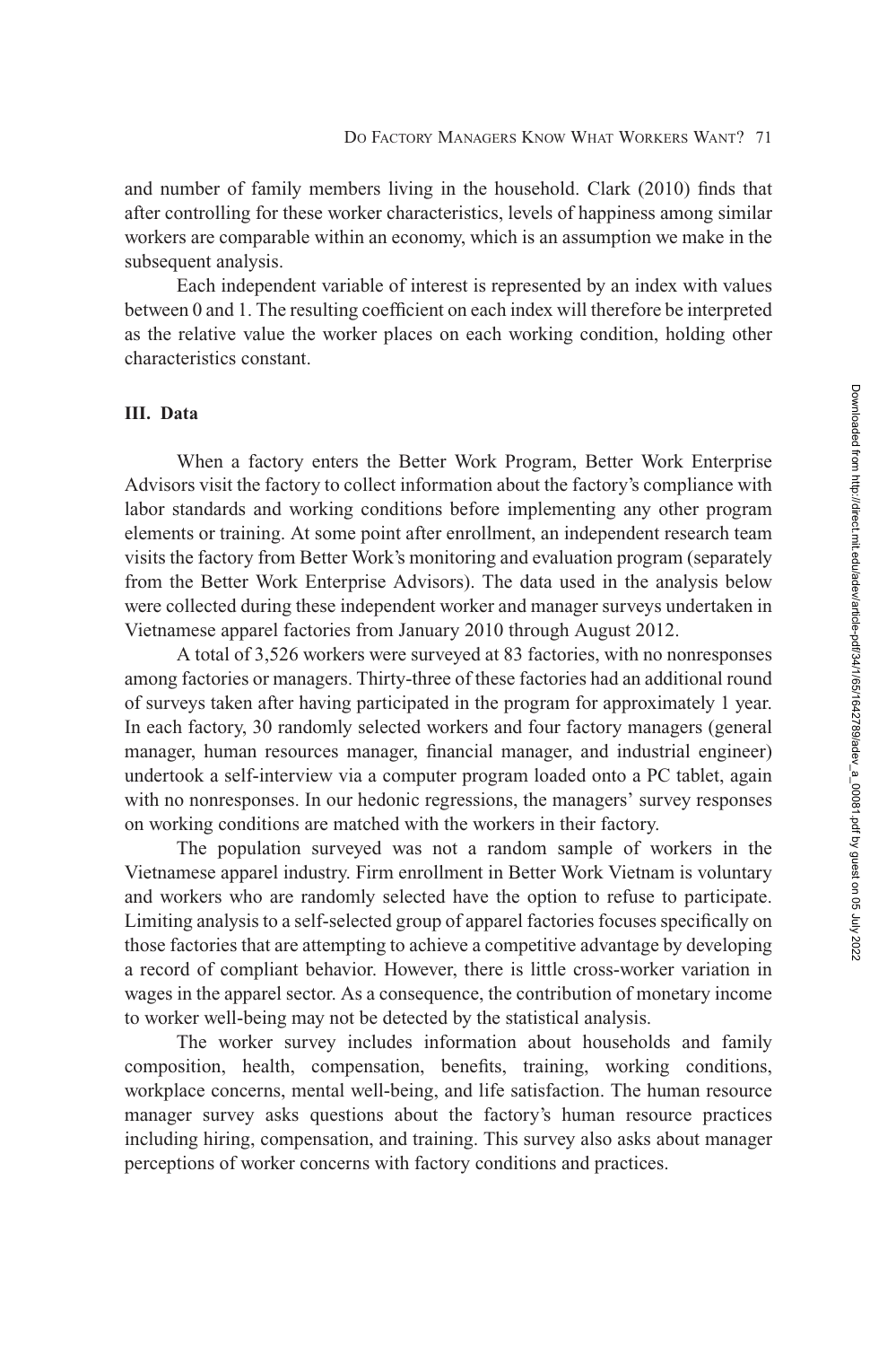and number of family members living in the household. Clark (2010) finds that after controlling for these worker characteristics, levels of happiness among similar workers are comparable within an economy, which is an assumption we make in the subsequent analysis.

Each independent variable of interest is represented by an index with values between 0 and 1. The resulting coefficient on each index will therefore be interpreted as the relative value the worker places on each working condition, holding other characteristics constant.

## **III. Data**

When a factory enters the Better Work Program, Better Work Enterprise Advisors visit the factory to collect information about the factory's compliance with labor standards and working conditions before implementing any other program elements or training. At some point after enrollment, an independent research team visits the factory from Better Work's monitoring and evaluation program (separately from the Better Work Enterprise Advisors). The data used in the analysis below were collected during these independent worker and manager surveys undertaken in Vietnamese apparel factories from January 2010 through August 2012.

A total of 3,526 workers were surveyed at 83 factories, with no nonresponses among factories or managers. Thirty-three of these factories had an additional round of surveys taken after having participated in the program for approximately 1 year. In each factory, 30 randomly selected workers and four factory managers (general manager, human resources manager, financial manager, and industrial engineer) undertook a self-interview via a computer program loaded onto a PC tablet, again with no nonresponses. In our hedonic regressions, the managers' survey responses on working conditions are matched with the workers in their factory.

The population surveyed was not a random sample of workers in the Vietnamese apparel industry. Firm enrollment in Better Work Vietnam is voluntary and workers who are randomly selected have the option to refuse to participate. Limiting analysis to a self-selected group of apparel factories focuses specifically on those factories that are attempting to achieve a competitive advantage by developing a record of compliant behavior. However, there is little cross-worker variation in wages in the apparel sector. As a consequence, the contribution of monetary income to worker well-being may not be detected by the statistical analysis.

The worker survey includes information about households and family composition, health, compensation, benefits, training, working conditions, workplace concerns, mental well-being, and life satisfaction. The human resource manager survey asks questions about the factory's human resource practices including hiring, compensation, and training. This survey also asks about manager perceptions of worker concerns with factory conditions and practices.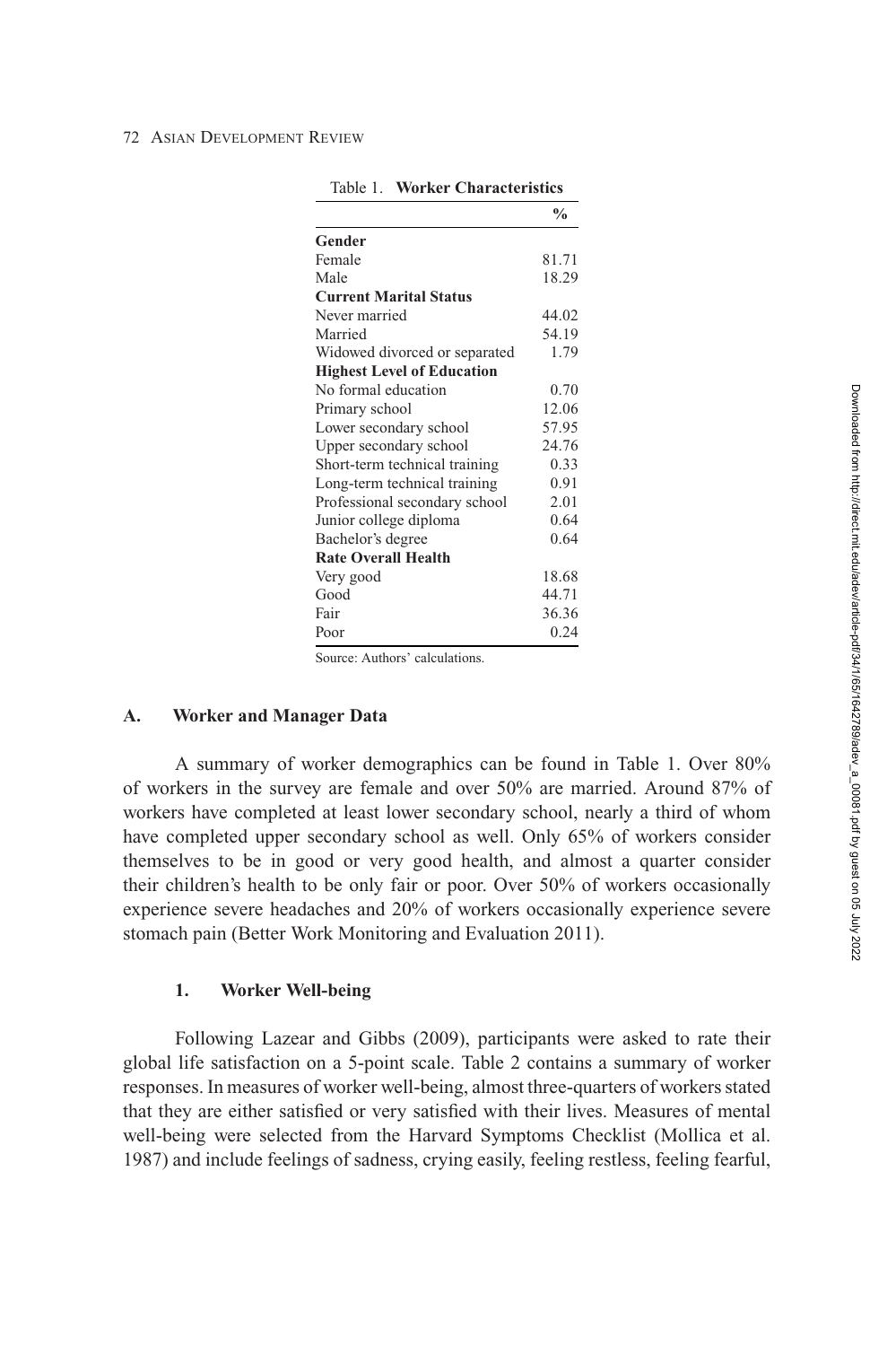#### 72 ASIAN DEVELOPMENT REVIEW

|                                   | $\frac{0}{0}$ |
|-----------------------------------|---------------|
| Gender                            |               |
| Female                            | 81.71         |
| Male                              | 18.29         |
| <b>Current Marital Status</b>     |               |
| Never married                     | 44.02         |
| Married                           | 54.19         |
| Widowed divorced or separated     | 1.79          |
| <b>Highest Level of Education</b> |               |
| No formal education               | 0.70          |
| Primary school                    | 12.06         |
| Lower secondary school            | 57.95         |
| Upper secondary school            | 24.76         |
| Short-term technical training     | 0.33          |
| Long-term technical training      | 0.91          |
| Professional secondary school     | 2.01          |
| Junior college diploma            | 0.64          |
| Bachelor's degree                 | 0.64          |
| <b>Rate Overall Health</b>        |               |
| Very good                         | 18.68         |
| Good                              | 44.71         |
| Fair                              | 36.36         |
| Poor                              | 0.24          |

Table 1. **Worker Characteristics**

Source: Authors' calculations.

#### **A. Worker and Manager Data**

A summary of worker demographics can be found in Table 1. Over 80% of workers in the survey are female and over 50% are married. Around 87% of workers have completed at least lower secondary school, nearly a third of whom have completed upper secondary school as well. Only 65% of workers consider themselves to be in good or very good health, and almost a quarter consider their children's health to be only fair or poor. Over 50% of workers occasionally experience severe headaches and 20% of workers occasionally experience severe stomach pain (Better Work Monitoring and Evaluation 2011).

#### **1. Worker Well-being**

Following Lazear and Gibbs (2009), participants were asked to rate their global life satisfaction on a 5-point scale. Table 2 contains a summary of worker responses. In measures of worker well-being, almost three-quarters of workers stated that they are either satisfied or very satisfied with their lives. Measures of mental well-being were selected from the Harvard Symptoms Checklist (Mollica et al. 1987) and include feelings of sadness, crying easily, feeling restless, feeling fearful,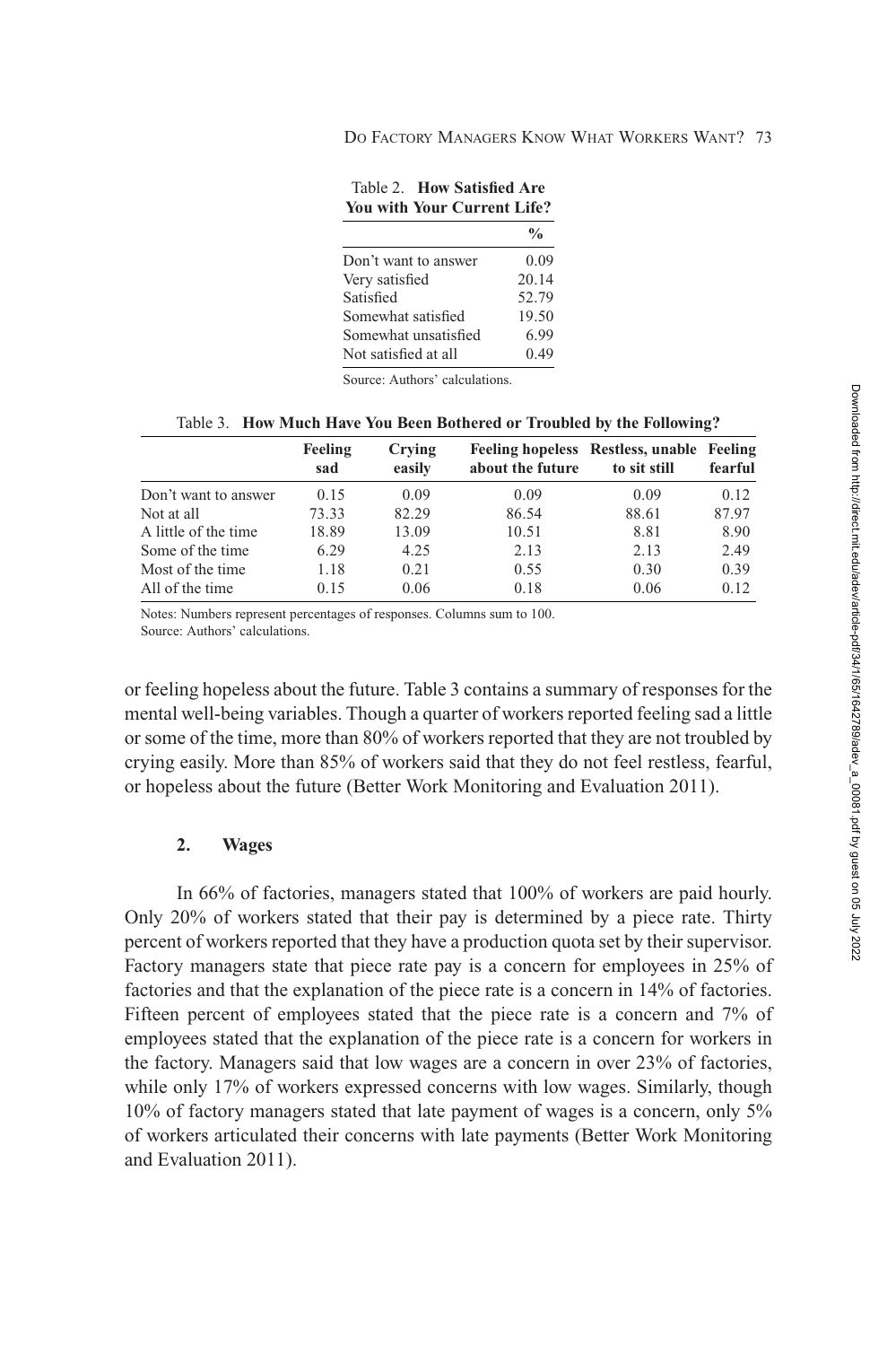| Table 2. <b>How Satisfied Are</b><br><b>You with Your Current Life?</b> |               |
|-------------------------------------------------------------------------|---------------|
|                                                                         | $\frac{0}{n}$ |
| Don't want to answer                                                    | 0.09          |
| Very satisfied                                                          | 20.14         |

Satisfied 52.79 Somewhat satisfied 19.50 Somewhat unsatisfied 6.99 Not satisfied at all  $0.49$ 

Table 2. **How Satisfied Are**

|  | Source: Authors' calculations. |
|--|--------------------------------|
|  |                                |

|  |  |  | Table 3. How Much Have You Been Bothered or Troubled by the Following? |
|--|--|--|------------------------------------------------------------------------|
|--|--|--|------------------------------------------------------------------------|

|                                     | Feeling<br>sad | Crying<br>easily | about the future | Feeling hopeless Restless, unable Feeling<br>to sit still | fearful      |
|-------------------------------------|----------------|------------------|------------------|-----------------------------------------------------------|--------------|
| Don't want to answer                | 0.15           | 0.09             | 0.09             | 0.09                                                      | 0.12         |
| Not at all                          | 73.33          | 82.29            | 86.54            | 88.61                                                     | 87.97        |
| A little of the time                | 18.89          | 13.09            | 10.51            | 8.81                                                      | 8.90         |
| Some of the time                    | 6.29           | 4.25             | 2.13             | 2.13                                                      | 2.49         |
| Most of the time<br>All of the time | 1.18<br>0.15   | 0.21<br>0.06     | 0.55<br>0.18     | 0.30<br>0.06                                              | 0.39<br>0.12 |

Notes: Numbers represent percentages of responses. Columns sum to 100. Source: Authors' calculations.

or feeling hopeless about the future. Table 3 contains a summary of responses for the mental well-being variables. Though a quarter of workers reported feeling sad a little or some of the time, more than 80% of workers reported that they are not troubled by crying easily. More than 85% of workers said that they do not feel restless, fearful, or hopeless about the future (Better Work Monitoring and Evaluation 2011).

## **2. Wages**

In 66% of factories, managers stated that 100% of workers are paid hourly. Only 20% of workers stated that their pay is determined by a piece rate. Thirty percent of workers reported that they have a production quota set by their supervisor. Factory managers state that piece rate pay is a concern for employees in 25% of factories and that the explanation of the piece rate is a concern in 14% of factories. Fifteen percent of employees stated that the piece rate is a concern and 7% of employees stated that the explanation of the piece rate is a concern for workers in the factory. Managers said that low wages are a concern in over 23% of factories, while only 17% of workers expressed concerns with low wages. Similarly, though 10% of factory managers stated that late payment of wages is a concern, only 5% of workers articulated their concerns with late payments (Better Work Monitoring and Evaluation 2011).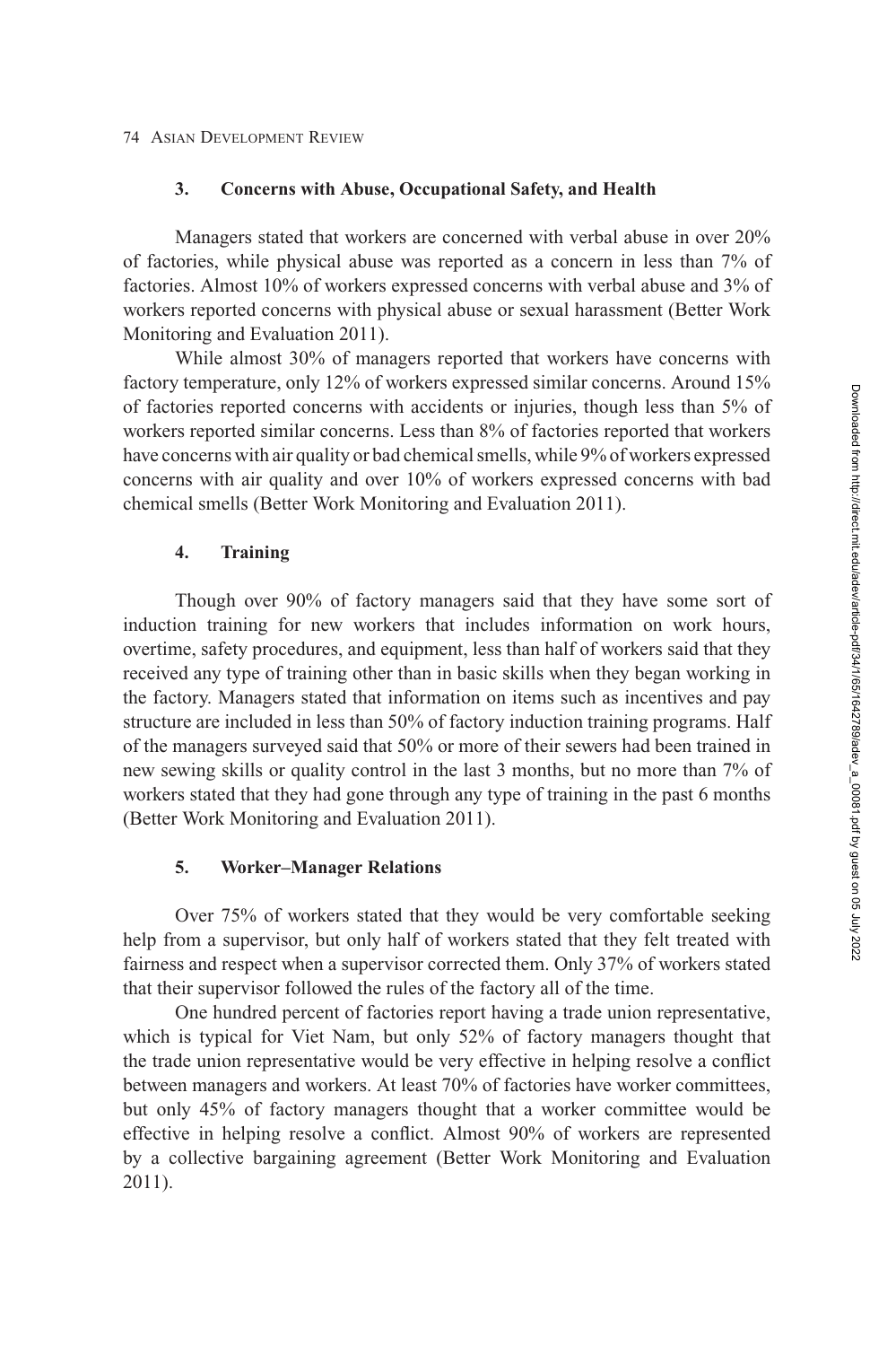# **3. Concerns with Abuse, Occupational Safety, and Health**

Managers stated that workers are concerned with verbal abuse in over 20% of factories, while physical abuse was reported as a concern in less than 7% of factories. Almost 10% of workers expressed concerns with verbal abuse and 3% of workers reported concerns with physical abuse or sexual harassment (Better Work Monitoring and Evaluation 2011).

While almost 30% of managers reported that workers have concerns with factory temperature, only 12% of workers expressed similar concerns. Around 15% of factories reported concerns with accidents or injuries, though less than 5% of workers reported similar concerns. Less than 8% of factories reported that workers have concerns with air quality or bad chemical smells, while 9% of workers expressed concerns with air quality and over 10% of workers expressed concerns with bad chemical smells (Better Work Monitoring and Evaluation 2011).

# **4. Training**

Though over 90% of factory managers said that they have some sort of induction training for new workers that includes information on work hours, overtime, safety procedures, and equipment, less than half of workers said that they received any type of training other than in basic skills when they began working in the factory. Managers stated that information on items such as incentives and pay structure are included in less than 50% of factory induction training programs. Half of the managers surveyed said that 50% or more of their sewers had been trained in new sewing skills or quality control in the last 3 months, but no more than 7% of workers stated that they had gone through any type of training in the past 6 months (Better Work Monitoring and Evaluation 2011).

# **5. Worker–Manager Relations**

Over 75% of workers stated that they would be very comfortable seeking help from a supervisor, but only half of workers stated that they felt treated with fairness and respect when a supervisor corrected them. Only 37% of workers stated that their supervisor followed the rules of the factory all of the time.

One hundred percent of factories report having a trade union representative, which is typical for Viet Nam, but only 52% of factory managers thought that the trade union representative would be very effective in helping resolve a conflict between managers and workers. At least 70% of factories have worker committees, but only 45% of factory managers thought that a worker committee would be effective in helping resolve a conflict. Almost 90% of workers are represented by a collective bargaining agreement (Better Work Monitoring and Evaluation 2011).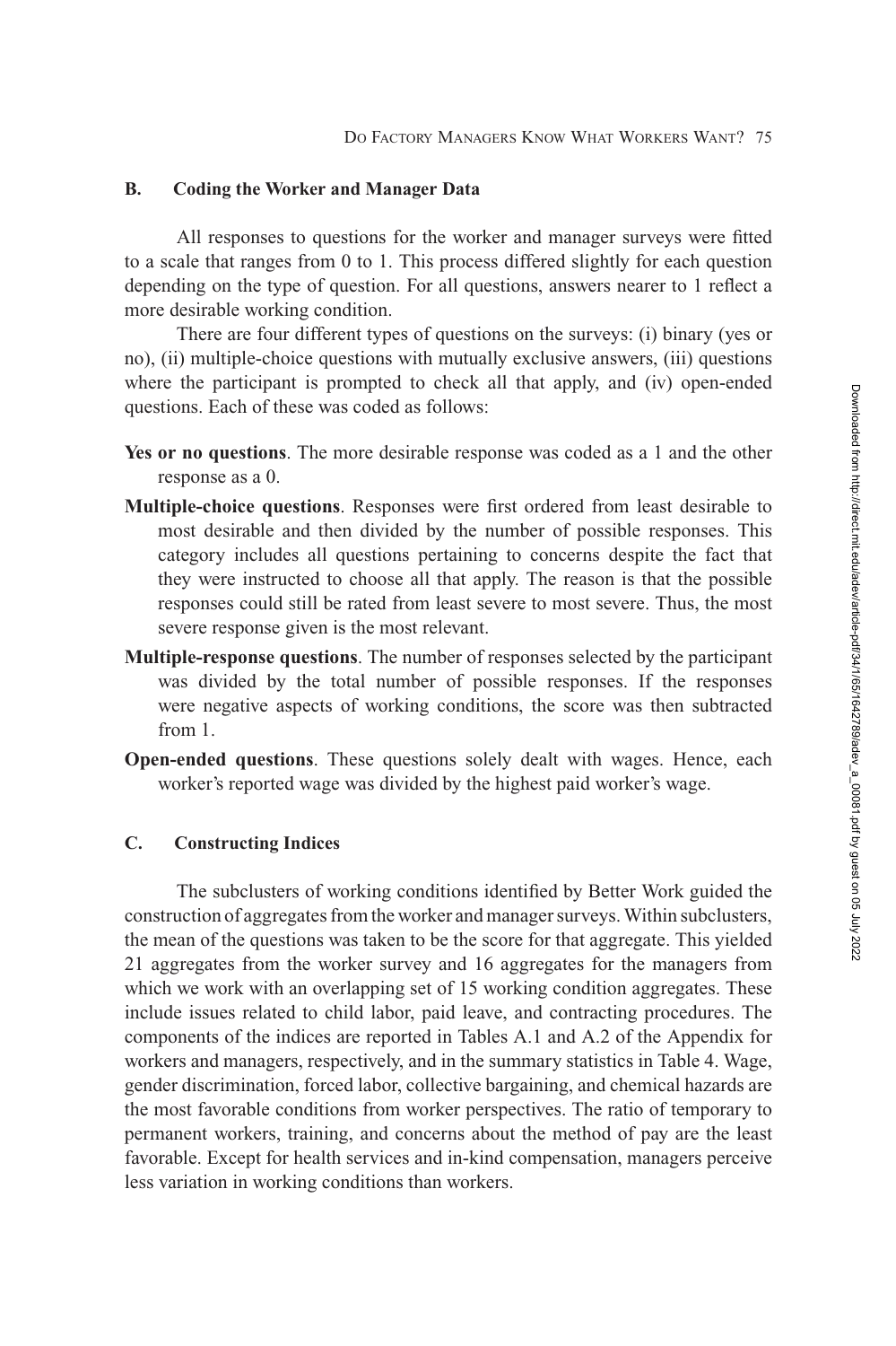#### **B. Coding the Worker and Manager Data**

All responses to questions for the worker and manager surveys were fitted to a scale that ranges from 0 to 1. This process differed slightly for each question depending on the type of question. For all questions, answers nearer to 1 reflect a more desirable working condition.

There are four different types of questions on the surveys: (i) binary (yes or no), (ii) multiple-choice questions with mutually exclusive answers, (iii) questions where the participant is prompted to check all that apply, and (iv) open-ended questions. Each of these was coded as follows:

- **Yes or no questions**. The more desirable response was coded as a 1 and the other response as a 0.
- **Multiple-choice questions**. Responses were first ordered from least desirable to most desirable and then divided by the number of possible responses. This category includes all questions pertaining to concerns despite the fact that they were instructed to choose all that apply. The reason is that the possible responses could still be rated from least severe to most severe. Thus, the most severe response given is the most relevant.
- **Multiple-response questions**. The number of responses selected by the participant was divided by the total number of possible responses. If the responses were negative aspects of working conditions, the score was then subtracted from 1.
- **Open-ended questions**. These questions solely dealt with wages. Hence, each worker's reported wage was divided by the highest paid worker's wage.

## **C. Constructing Indices**

The subclusters of working conditions identified by Better Work guided the construction of aggregates from the worker and manager surveys. Within subclusters, the mean of the questions was taken to be the score for that aggregate. This yielded 21 aggregates from the worker survey and 16 aggregates for the managers from which we work with an overlapping set of 15 working condition aggregates. These include issues related to child labor, paid leave, and contracting procedures. The components of the indices are reported in Tables A.1 and A.2 of the Appendix for workers and managers, respectively, and in the summary statistics in Table 4. Wage, gender discrimination, forced labor, collective bargaining, and chemical hazards are the most favorable conditions from worker perspectives. The ratio of temporary to permanent workers, training, and concerns about the method of pay are the least favorable. Except for health services and in-kind compensation, managers perceive less variation in working conditions than workers.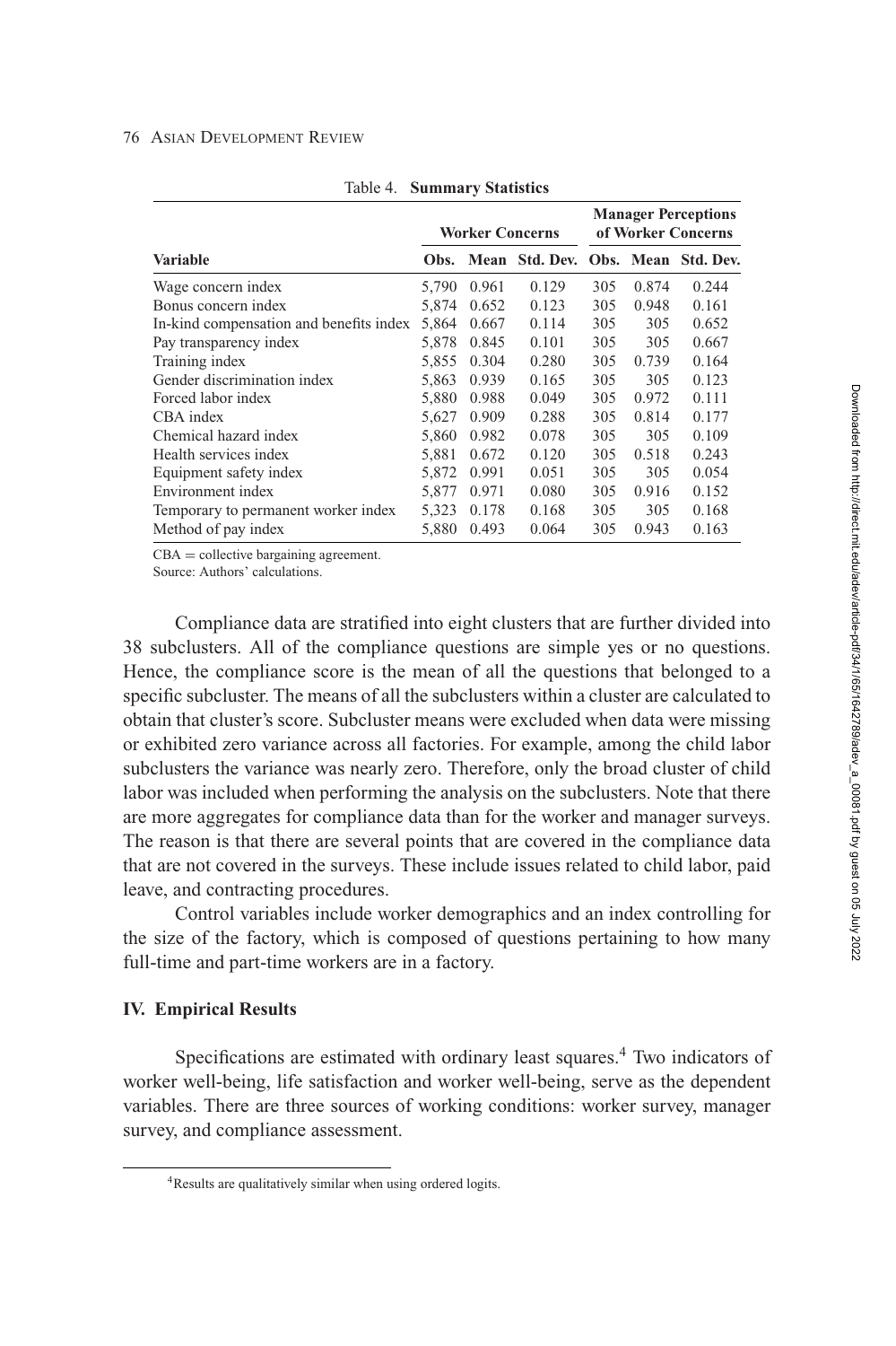#### 76 ASIAN DEVELOPMENT REVIEW

|                                         |       |       | <b>Worker Concerns</b> |     |           | <b>Manager Perceptions</b><br>of Worker Concerns |
|-----------------------------------------|-------|-------|------------------------|-----|-----------|--------------------------------------------------|
| <b>Variable</b>                         | Obs.  | Mean  | Std. Dev.              |     | Obs. Mean | Std. Dev.                                        |
| Wage concern index                      | 5,790 | 0.961 | 0.129                  | 305 | 0.874     | 0.244                                            |
| Bonus concern index                     | 5.874 | 0.652 | 0.123                  | 305 | 0.948     | 0.161                                            |
| In-kind compensation and benefits index | 5.864 | 0.667 | 0.114                  | 305 | 305       | 0.652                                            |
| Pay transparency index                  | 5,878 | 0.845 | 0.101                  | 305 | 305       | 0.667                                            |
| Training index                          | 5,855 | 0.304 | 0.280                  | 305 | 0.739     | 0.164                                            |
| Gender discrimination index             | 5,863 | 0.939 | 0.165                  | 305 | 305       | 0.123                                            |
| Forced labor index                      | 5,880 | 0.988 | 0.049                  | 305 | 0.972     | 0.111                                            |
| CBA index                               | 5,627 | 0.909 | 0.288                  | 305 | 0.814     | 0.177                                            |
| Chemical hazard index                   | 5,860 | 0.982 | 0.078                  | 305 | 305       | 0.109                                            |
| Health services index                   | 5.881 | 0.672 | 0.120                  | 305 | 0.518     | 0.243                                            |
| Equipment safety index                  | 5,872 | 0.991 | 0.051                  | 305 | 305       | 0.054                                            |
| Environment index                       | 5,877 | 0.971 | 0.080                  | 305 | 0.916     | 0.152                                            |
| Temporary to permanent worker index     | 5,323 | 0.178 | 0.168                  | 305 | 305       | 0.168                                            |
| Method of pay index                     | 5,880 | 0.493 | 0.064                  | 305 | 0.943     | 0.163                                            |

Table 4. **Summary Statistics**

 $CBA = collective \, bargaining \, agreement.$ 

Source: Authors' calculations.

Compliance data are stratified into eight clusters that are further divided into 38 subclusters. All of the compliance questions are simple yes or no questions. Hence, the compliance score is the mean of all the questions that belonged to a specific subcluster. The means of all the subclusters within a cluster are calculated to obtain that cluster's score. Subcluster means were excluded when data were missing or exhibited zero variance across all factories. For example, among the child labor subclusters the variance was nearly zero. Therefore, only the broad cluster of child labor was included when performing the analysis on the subclusters. Note that there are more aggregates for compliance data than for the worker and manager surveys. The reason is that there are several points that are covered in the compliance data that are not covered in the surveys. These include issues related to child labor, paid leave, and contracting procedures.

Control variables include worker demographics and an index controlling for the size of the factory, which is composed of questions pertaining to how many full-time and part-time workers are in a factory.

#### **IV. Empirical Results**

Specifications are estimated with ordinary least squares.<sup>4</sup> Two indicators of worker well-being, life satisfaction and worker well-being, serve as the dependent variables. There are three sources of working conditions: worker survey, manager survey, and compliance assessment.

<sup>4</sup>Results are qualitatively similar when using ordered logits.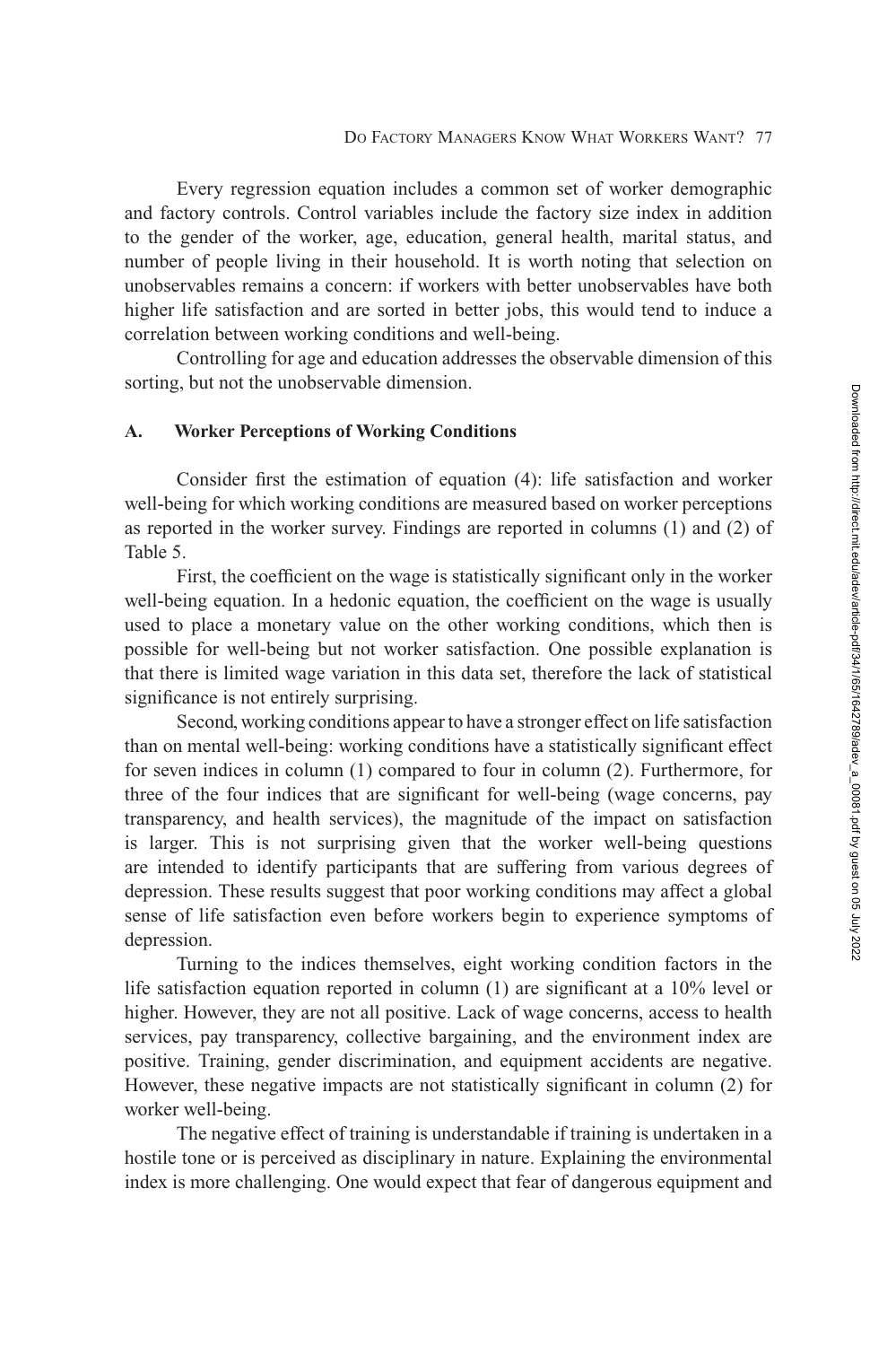Every regression equation includes a common set of worker demographic and factory controls. Control variables include the factory size index in addition to the gender of the worker, age, education, general health, marital status, and number of people living in their household. It is worth noting that selection on unobservables remains a concern: if workers with better unobservables have both higher life satisfaction and are sorted in better jobs, this would tend to induce a correlation between working conditions and well-being.

Controlling for age and education addresses the observable dimension of this sorting, but not the unobservable dimension.

## **A. Worker Perceptions of Working Conditions**

Consider first the estimation of equation (4): life satisfaction and worker well-being for which working conditions are measured based on worker perceptions as reported in the worker survey. Findings are reported in columns (1) and (2) of Table 5.

First, the coefficient on the wage is statistically significant only in the worker well-being equation. In a hedonic equation, the coefficient on the wage is usually used to place a monetary value on the other working conditions, which then is possible for well-being but not worker satisfaction. One possible explanation is that there is limited wage variation in this data set, therefore the lack of statistical significance is not entirely surprising.

Second, working conditions appear to have a stronger effect on life satisfaction than on mental well-being: working conditions have a statistically significant effect for seven indices in column (1) compared to four in column (2). Furthermore, for three of the four indices that are significant for well-being (wage concerns, pay transparency, and health services), the magnitude of the impact on satisfaction is larger. This is not surprising given that the worker well-being questions are intended to identify participants that are suffering from various degrees of depression. These results suggest that poor working conditions may affect a global sense of life satisfaction even before workers begin to experience symptoms of depression.

Turning to the indices themselves, eight working condition factors in the life satisfaction equation reported in column (1) are significant at a 10% level or higher. However, they are not all positive. Lack of wage concerns, access to health services, pay transparency, collective bargaining, and the environment index are positive. Training, gender discrimination, and equipment accidents are negative. However, these negative impacts are not statistically significant in column (2) for worker well-being.

The negative effect of training is understandable if training is undertaken in a hostile tone or is perceived as disciplinary in nature. Explaining the environmental index is more challenging. One would expect that fear of dangerous equipment and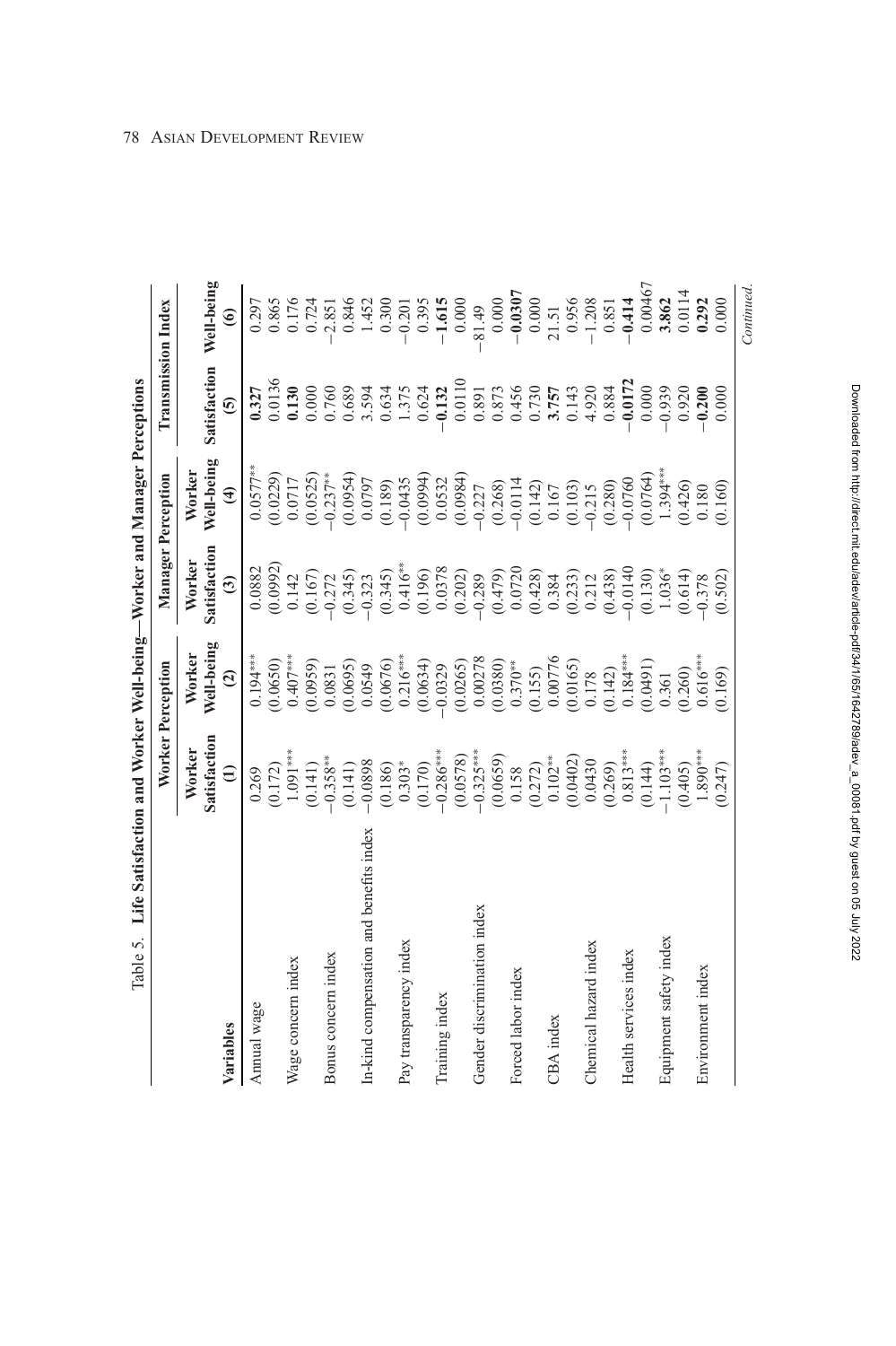| $\frac{1}{2}$ and $\frac{1}{2}$ and $\frac{1}{2}$ and $\frac{1}{2}$ and $\frac{1}{2}$ and $\frac{1}{2}$ and $\frac{1}{2}$ |                        |                                                               |                                                                      | AANI WEI AIHA TATATA EE TELAEDATAN                                                                  |                                                                            |                        |
|---------------------------------------------------------------------------------------------------------------------------|------------------------|---------------------------------------------------------------|----------------------------------------------------------------------|-----------------------------------------------------------------------------------------------------|----------------------------------------------------------------------------|------------------------|
|                                                                                                                           |                        | Worker Perception                                             | Manager Perception                                                   |                                                                                                     | Transmission Index                                                         |                        |
|                                                                                                                           | Satisfaction<br>Worker | Well-being<br>Worker                                          | Satisfaction<br>Worker                                               | Well-being<br>Worker                                                                                | Satisfaction                                                               | Well-being             |
| Variables                                                                                                                 | $\ominus$              | $\widehat{c}$                                                 | $\widehat{\mathcal{C}}$                                              | $\widehat{\mathbf{t}}$                                                                              | $\widehat{\mathbf{e}}$                                                     | $\widehat{\mathbf{e}}$ |
| Annual wage                                                                                                               | 0.269                  | $0.194***$                                                    | 0.0882                                                               | $0.0577***$                                                                                         | 0.327                                                                      | 0.297                  |
|                                                                                                                           | (0.172)                | (0.0650)                                                      | (0.0992)                                                             | $\begin{array}{c} (0.0229) \\ 0.0717 \\ (0.0525) \end{array}$                                       | 0.0136                                                                     | 0.865                  |
| Wage concern index                                                                                                        | $1.091***$             | $0.407***$                                                    | 0.142                                                                |                                                                                                     | 0.130                                                                      |                        |
|                                                                                                                           | (0.141)                | (0.0959)                                                      | (0.167)                                                              |                                                                                                     | 0.000                                                                      | 0.176<br>0.724         |
| Bonus concern index                                                                                                       | $-0.358**$             | 0.0831                                                        | $\frac{-0.272}{(0.345)}$<br>$-0.345$                                 | $-0.237**$                                                                                          | 0.760                                                                      | $-2.851$<br>0.846      |
|                                                                                                                           | (0.141)                | (0.0695)                                                      |                                                                      | (0.0954)                                                                                            | 0.689                                                                      |                        |
| In-kind compensation and benefits index                                                                                   | $-0.0898$              | 0.0549                                                        |                                                                      | 0.0797                                                                                              | 3.594                                                                      |                        |
|                                                                                                                           | (0.186)                | (0.0676)                                                      | (0.345)                                                              | (0.189)                                                                                             | 0.634                                                                      | 1.452<br>0.300         |
| Pay transparency index                                                                                                    | $0.303*$               | $0.216***$                                                    | $0.416**$                                                            | $-0.0435$                                                                                           |                                                                            | $-0.201$               |
|                                                                                                                           | (0.170)                | (0.0634)                                                      | (0.196)                                                              | $\begin{array}{c} (0.0994) \\ 0.0532 \\ 0.0532 \end{array}$                                         | 1.375<br>0.624                                                             | 0.395                  |
| Training index                                                                                                            | $-0.286***$            | $-0.0329$                                                     | 0.0378                                                               |                                                                                                     | $\frac{-0.132}{0.0110}$                                                    | $-1.615$               |
|                                                                                                                           | (0.0578)               | (0.0265)                                                      | (0.202)                                                              |                                                                                                     |                                                                            | $0.000\,$              |
| Gender discrimination index                                                                                               | $-0.325***$            | 0.00278                                                       | $-0.289$                                                             |                                                                                                     |                                                                            | $-81.49$               |
|                                                                                                                           | (0.0659)               | $(0.0380)$<br>$0.370***$                                      | $(0.479)$<br>0.0720                                                  | $-0.227$<br>$(0.268)$<br>$(0.142)$<br>$(0.142)$<br>$(0.167)$<br>$(0.103)$<br>$(0.280)$<br>$(0.280)$ | $0.891$<br>0.873                                                           | $-0.000$<br>-0.0307    |
| Forced labor index                                                                                                        | 0.158                  |                                                               |                                                                      |                                                                                                     |                                                                            |                        |
|                                                                                                                           | (0.272)                |                                                               |                                                                      |                                                                                                     |                                                                            | 0.000                  |
| CBA index                                                                                                                 | $0.102***$             | $\begin{array}{c} (0.155) \\ 0.00776 \\ (0.0165) \end{array}$ | $\begin{array}{c} (0.428) \\ 0.384 \\ (0.233) \\ (0.212 \end{array}$ |                                                                                                     | $0.456$<br>$0.730$<br>$0.757$<br>$0.143$<br>$0.884$<br>$0.884$<br>$0.0172$ | 21.51                  |
|                                                                                                                           | (0.0402)               |                                                               |                                                                      |                                                                                                     |                                                                            | 0.956                  |
| Chemical hazard index                                                                                                     | 0.0430                 | 0.178                                                         |                                                                      |                                                                                                     |                                                                            |                        |
|                                                                                                                           | (0.269)                | $(0.142)$<br>0.184***                                         | (0.438)                                                              |                                                                                                     |                                                                            | $-1.208$<br>0.851      |
| Health services index                                                                                                     | $0.813***$             |                                                               | $-0.0140$                                                            |                                                                                                     |                                                                            | $-0.414$               |
|                                                                                                                           | (0.144)                | (0.0491)                                                      | (0.130)                                                              | $(0.0764)$<br>1.394***                                                                              | 0.000                                                                      | 0.00467                |
| Equipment safety index                                                                                                    | $-1.103***$            | 0.361                                                         | $1.036*$                                                             |                                                                                                     | $-0.939$                                                                   | 3.862                  |
|                                                                                                                           | (0.405)                | (0.260)                                                       | (0.614)                                                              | (0.426)                                                                                             | 0.920                                                                      | 0.0114                 |
| Environment index                                                                                                         | $1.890***$             | $0.616***$                                                    | $-0.378$                                                             | 0.180                                                                                               | $-0.200$                                                                   | 0.292                  |
|                                                                                                                           | (0.247)                | (0.169)                                                       | (0.502)                                                              | (0.160)                                                                                             | $0.000$                                                                    | 0.000                  |
|                                                                                                                           |                        |                                                               |                                                                      |                                                                                                     |                                                                            | Continued              |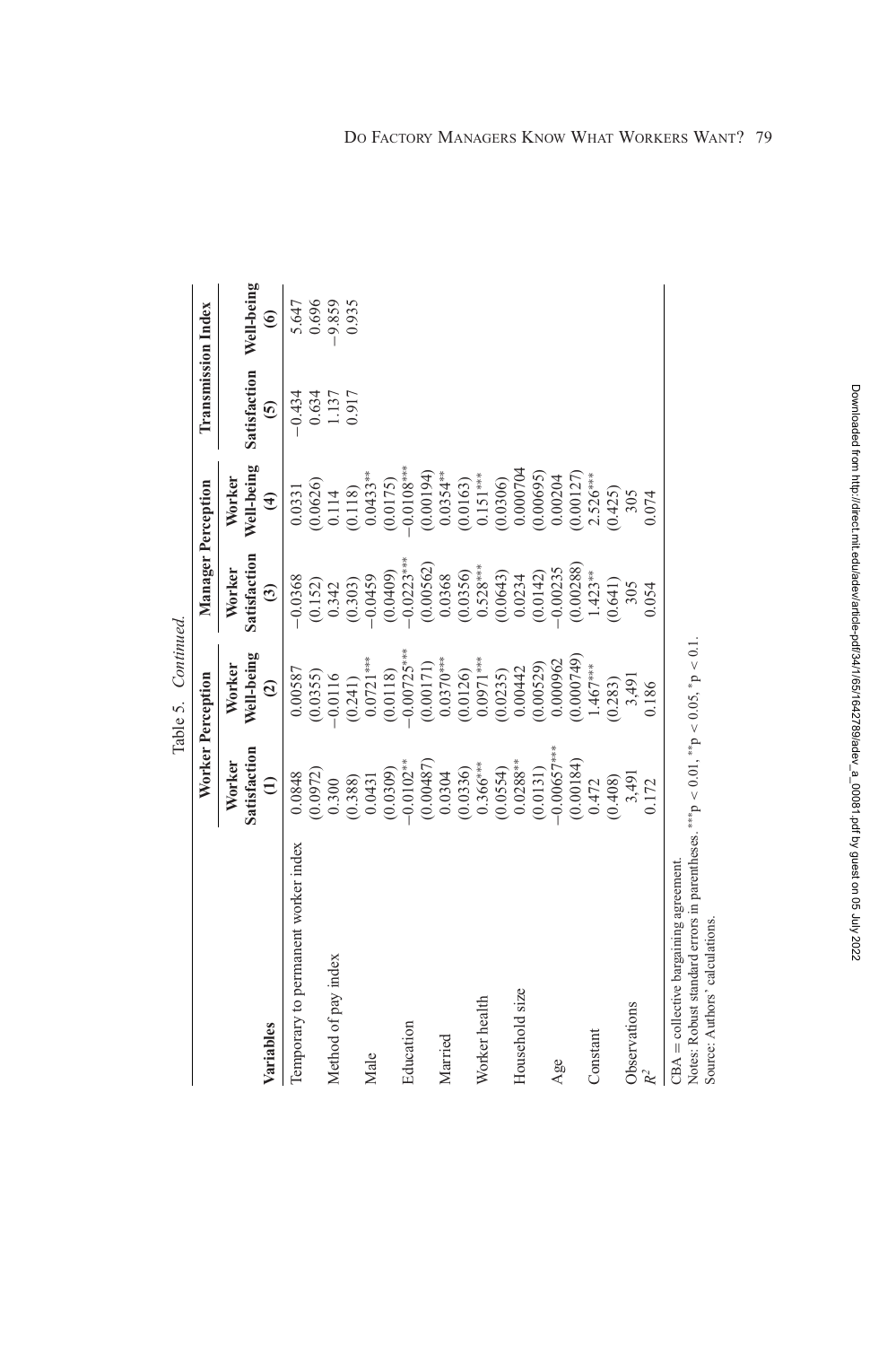|                                                                                               |                        | Table 5. Continued.    |                           |                        |                           |                     |
|-----------------------------------------------------------------------------------------------|------------------------|------------------------|---------------------------|------------------------|---------------------------|---------------------|
|                                                                                               |                        | Worker Perception      | <b>Manager Perception</b> |                        | <b>Transmission Index</b> |                     |
|                                                                                               | Satisfaction<br>Worker | Well-being<br>Worker   | Satisfaction<br>Worker    | Well-being<br>Worker   | Satisfaction              | Well-being          |
| Variables                                                                                     | $\widehat{E}$          | $\widehat{c}$          | $\odot$                   | $\widehat{\mathbf{t}}$ | $\widehat{\mathbf{e}}$    | $\widehat{\bullet}$ |
| Temporary to permanent worker index                                                           | 0.0848                 | 0.00587                | $-0.0368$                 | 0.0331                 | $-0.434$                  | 5.647<br>0.696      |
| Method of pay index                                                                           | (0.0972)<br>0.300      | (0.0355)<br>$-0.0116$  | (0.152)<br>0.342          | (0.0626)<br>0.114      | 1.137<br>0.634            | .9.859              |
| Male                                                                                          | (0.388)<br>0.0431      | $0.0721***$<br>(0.241) | $-0.0459$<br>(0.303)      | $0.0433**$<br>(0.118)  | 0.917                     | 0.935               |
|                                                                                               | (0.0309)               | (0.0118)               | (0.0409)                  | (0.0175)               |                           |                     |
| Education                                                                                     | $-0.0102**$            | $-0.00725***$          | $-0.0223***$              | $-0.0108***$           |                           |                     |
|                                                                                               | (0.00487)              | (0.00171)              | (0.00562)                 | (0.00194)              |                           |                     |
| Married                                                                                       | 0.0304                 | $0.0370***$            | 0.0368                    | $0.0354***$            |                           |                     |
|                                                                                               | (0.0336)               | (0.0126)               | (0.0356)                  | (0.0163)               |                           |                     |
| Worker health                                                                                 | $0.366***$             | $0.0971***$            | $0.528***$                | $0.151***$             |                           |                     |
|                                                                                               | (0.0554)               | (0.0235)               | (0.0643)                  | (0.0306)               |                           |                     |
| Household size                                                                                | $0.0288***$            | 0.00442                | 0.0234                    | 0.000704               |                           |                     |
|                                                                                               | (0.0131)               | (0.00529)              | (0.0142)                  | (0.00695)              |                           |                     |
| Age                                                                                           | $-0.00657***$          | 0.000962               | 0.00235                   | 0.00204                |                           |                     |
|                                                                                               | (0.00184)              | (0.000749)             | (0.00288)                 | (0.00127)              |                           |                     |
| Constant                                                                                      | 0.472                  | $1.467***$             | $1.423**$                 | $2.526***$             |                           |                     |
|                                                                                               | (0.408)                | (0.283)                | (0.641)                   | (0.425)                |                           |                     |
| Observations                                                                                  | 3,491                  | 3,491                  | 305                       | 305                    |                           |                     |
| $R^2$                                                                                         | 0.172                  | 0.186                  | 0.054                     | 0.074                  |                           |                     |
| $CBA =$ collective bargaining agreement.                                                      |                        |                        |                           |                        |                           |                     |
| Notes: Robust standard errors in parentheses. **** $p < 0.01$ , ** $p < 0.05$ , * $p < 0.1$ . |                        |                        |                           |                        |                           |                     |
| Source: Authors' calculations.                                                                |                        |                        |                           |                        |                           |                     |

DO FACTORY MANAGERS KNOW WHAT WORKERS WANT? 79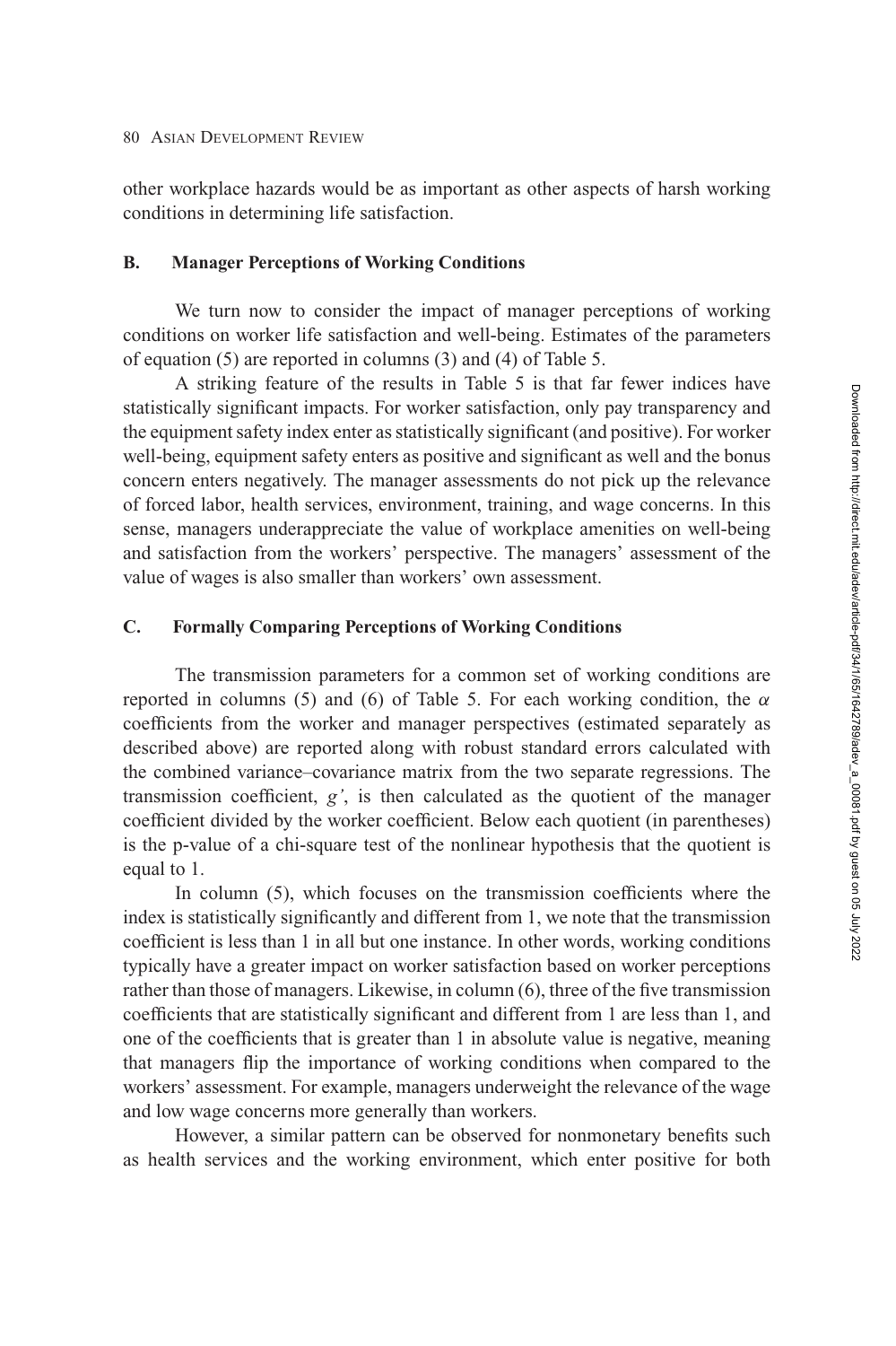other workplace hazards would be as important as other aspects of harsh working conditions in determining life satisfaction.

#### **B. Manager Perceptions of Working Conditions**

We turn now to consider the impact of manager perceptions of working conditions on worker life satisfaction and well-being. Estimates of the parameters of equation (5) are reported in columns (3) and (4) of Table 5.

A striking feature of the results in Table 5 is that far fewer indices have statistically significant impacts. For worker satisfaction, only pay transparency and the equipment safety index enter as statistically significant (and positive). For worker well-being, equipment safety enters as positive and significant as well and the bonus concern enters negatively. The manager assessments do not pick up the relevance of forced labor, health services, environment, training, and wage concerns. In this sense, managers underappreciate the value of workplace amenities on well-being and satisfaction from the workers' perspective. The managers' assessment of the value of wages is also smaller than workers' own assessment.

# **C. Formally Comparing Perceptions of Working Conditions**

The transmission parameters for a common set of working conditions are reported in columns (5) and (6) of Table 5. For each working condition, the  $\alpha$ coefficients from the worker and manager perspectives (estimated separately as described above) are reported along with robust standard errors calculated with the combined variance–covariance matrix from the two separate regressions. The transmission coefficient, *g'*, is then calculated as the quotient of the manager coefficient divided by the worker coefficient. Below each quotient (in parentheses) is the p-value of a chi-square test of the nonlinear hypothesis that the quotient is equal to 1.

In column (5), which focuses on the transmission coefficients where the index is statistically significantly and different from 1, we note that the transmission coefficient is less than 1 in all but one instance. In other words, working conditions typically have a greater impact on worker satisfaction based on worker perceptions rather than those of managers. Likewise, in column (6), three of the five transmission coefficients that are statistically significant and different from 1 are less than 1, and one of the coefficients that is greater than 1 in absolute value is negative, meaning that managers flip the importance of working conditions when compared to the workers' assessment. For example, managers underweight the relevance of the wage and low wage concerns more generally than workers.

However, a similar pattern can be observed for nonmonetary benefits such as health services and the working environment, which enter positive for both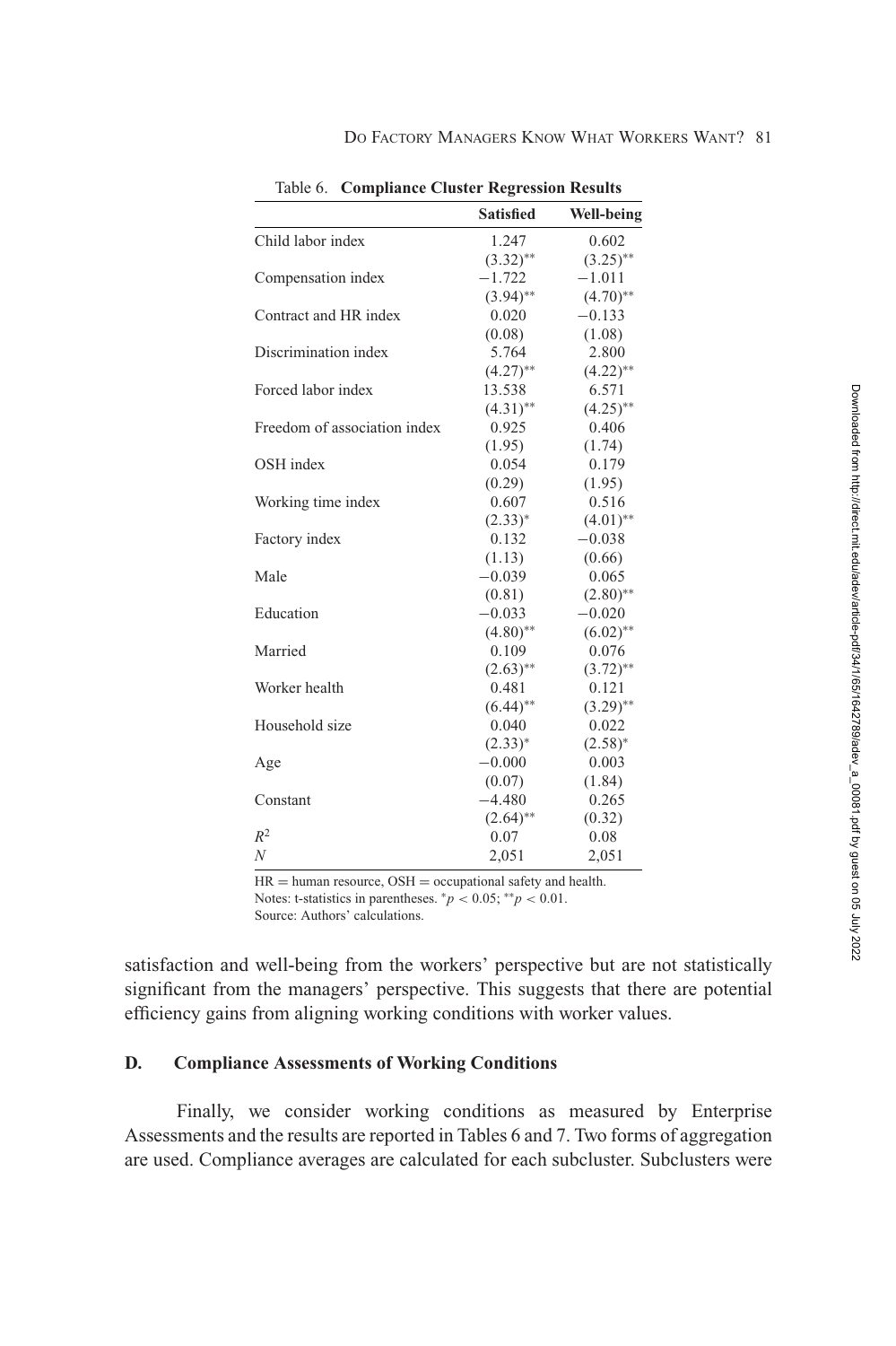| rable 6.<br>Compliance Cluster Regression Results |                  |             |  |
|---------------------------------------------------|------------------|-------------|--|
|                                                   | <b>Satisfied</b> | Well-being  |  |
| Child labor index                                 | 1.247            | 0.602       |  |
|                                                   | $(3.32)$ **      | $(3.25)$ ** |  |
| Compensation index                                | $-1.722$         | $-1.011$    |  |
|                                                   | $(3.94)$ **      | $(4.70)$ ** |  |
| Contract and HR index                             | 0.020            | $-0.133$    |  |
|                                                   | (0.08)           | (1.08)      |  |
| Discrimination index                              | 5.764            | 2.800       |  |
|                                                   | $(4.27)$ **      | $(4.22)$ ** |  |
| Forced labor index                                | 13.538           | 6.571       |  |
|                                                   | $(4.31)$ **      | $(4.25)$ ** |  |
| Freedom of association index                      | 0.925            | 0.406       |  |
|                                                   | (1.95)           | (1.74)      |  |
| OSH index                                         | 0.054            | 0.179       |  |
|                                                   | (0.29)           | (1.95)      |  |
| Working time index                                | 0.607            | 0.516       |  |
|                                                   | $(2.33)^{*}$     | $(4.01)$ ** |  |
| Factory index                                     | 0.132            | $-0.038$    |  |
|                                                   | (1.13)           | (0.66)      |  |
| Male                                              | $-0.039$         | 0.065       |  |
|                                                   | (0.81)           | $(2.80)$ ** |  |
| Education                                         | $-0.033$         | $-0.020$    |  |
|                                                   | $(4.80)$ **      | $(6.02)$ ** |  |
| Married                                           | 0.109            | 0.076       |  |
|                                                   | $(2.63)$ **      | $(3.72)$ ** |  |
| Worker health                                     | 0.481            | 0.121       |  |
|                                                   | $(6.44)$ **      | $(3.29)$ ** |  |
| Household size                                    | 0.040            | 0.022       |  |
|                                                   | $(2.33)^{*}$     | $(2.58)^*$  |  |
| Age                                               | $-0.000$         | 0.003       |  |
|                                                   | (0.07)           | (1.84)      |  |
| Constant                                          | $-4.480$         | 0.265       |  |
|                                                   | $(2.64)$ **      | (0.32)      |  |
| $R^2$                                             | 0.07             | 0.08        |  |

DO FACTORY MANAGERS KNOW WHAT WORKERS WANT? 81

Table 6. **Compliance Cluster Regression Results**

L. L,

 $HR =$  human resource,  $OSH =$  occupational safety and health. Notes: t-statistics in parentheses.  $p < 0.05$ ; \*\**p* < 0.01. Source: Authors' calculations.

*N* 2,051 2,051

satisfaction and well-being from the workers' perspective but are not statistically significant from the managers' perspective. This suggests that there are potential efficiency gains from aligning working conditions with worker values.

# **D. Compliance Assessments of Working Conditions**

Finally, we consider working conditions as measured by Enterprise Assessments and the results are reported in Tables 6 and 7. Two forms of aggregation are used. Compliance averages are calculated for each subcluster. Subclusters were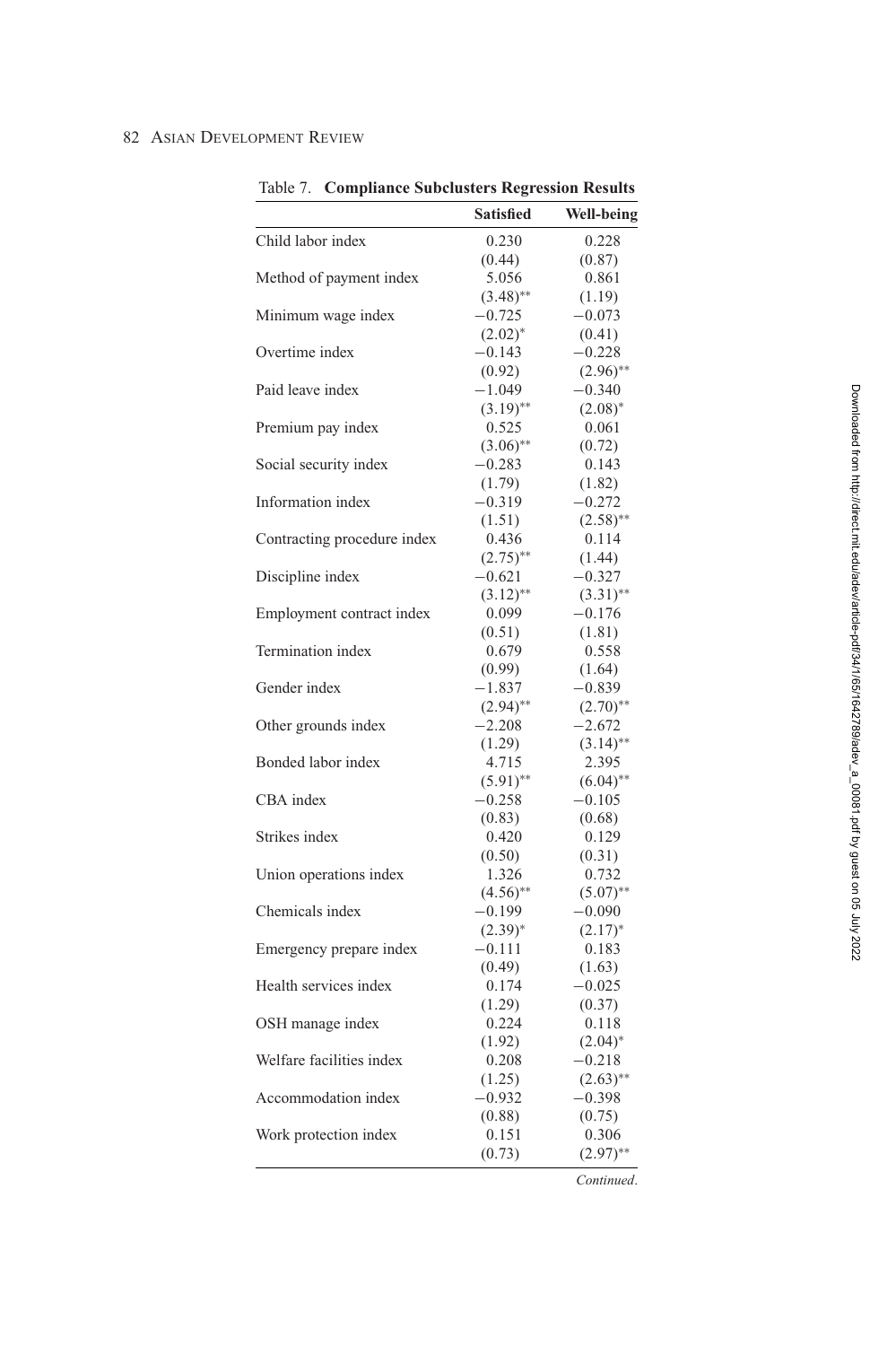#### 82 ASIAN DEVELOPMENT REVIEW

|                             | <b>Satisfied</b>       | <b>Well-being</b> |
|-----------------------------|------------------------|-------------------|
| Child labor index           | 0.230                  | 0.228             |
|                             | (0.44)                 | (0.87)            |
| Method of payment index     | 5.056                  | 0.861             |
|                             | $(3.48)$ **            | (1.19)            |
| Minimum wage index          | $-0.725$               | $-0.073$          |
|                             | $(2.02)^{*}$           | (0.41)            |
| Overtime index              | $-0.143$               | $-0.228$          |
|                             | (0.92)                 | $(2.96)$ **       |
| Paid leave index            | $-1.049$               | $-0.340$          |
|                             | $(3.19)$ **            | $(2.08)^*$        |
| Premium pay index           | 0.525                  | 0.061             |
|                             | $(3.06)$ **            | (0.72)            |
| Social security index       | $-0.283$               | 0.143             |
|                             | (1.79)                 | (1.82)            |
| Information index           | $-0.319$               | $-0.272$          |
|                             | (1.51)                 | $(2.58)$ **       |
| Contracting procedure index | 0.436                  | 0.114             |
|                             | $(2.75)$ <sup>**</sup> | (1.44)            |
| Discipline index            | $-0.621$               | $-0.327$          |
|                             | $(3.12)$ **            | $(3.31)$ **       |
| Employment contract index   | 0.099                  | $-0.176$          |
|                             | (0.51)                 | (1.81)            |
| Termination index           | 0.679                  | 0.558             |
|                             | (0.99)                 | (1.64)            |
| Gender index                | $-1.837$               | $-0.839$          |
|                             | $(2.94)$ **            | $(2.70)$ **       |
| Other grounds index         | $-2.208$               | $-2.672$          |
|                             | (1.29)                 | $(3.14)$ **       |
| Bonded labor index          | 4.715                  | 2.395             |
|                             | $(5.91)$ **            | $(6.04)$ **       |
| CBA index                   | $-0.258$               | $-0.105$          |
|                             | (0.83)                 | (0.68)            |
| Strikes index               | 0.420                  | 0.129             |
|                             | (0.50)                 | (0.31)            |
| Union operations index      | 1.326                  | 0.732             |
|                             | $(4.56)$ **            | $(5.07)$ **       |
| Chemicals index             | $-0.199$               | $-0.090$          |
|                             | $(2.39)^{*}$           | $(2.17)^*$        |
| Emergency prepare index     | $-0.111$               | 0.183             |
|                             | (0.49)                 | (1.63)            |
| Health services index       | 0.174                  | $-0.025$          |
|                             | (1.29)                 | (0.37)            |
| OSH manage index            | 0.224                  | 0.118             |
|                             | (1.92)                 | $(2.04)^*$        |
| Welfare facilities index    | 0.208                  | $-0.218$          |
|                             | (1.25)                 | $(2.63)$ **       |
| Accommodation index         | $-0.932$               | $-0.398$          |
|                             | (0.88)                 | (0.75)            |
| Work protection index       | 0.151                  | 0.306             |
|                             | (0.73)                 | $(2.97)$ **       |
|                             |                        |                   |

Table 7. **Compliance Subclusters Regression Results**

*Continued* .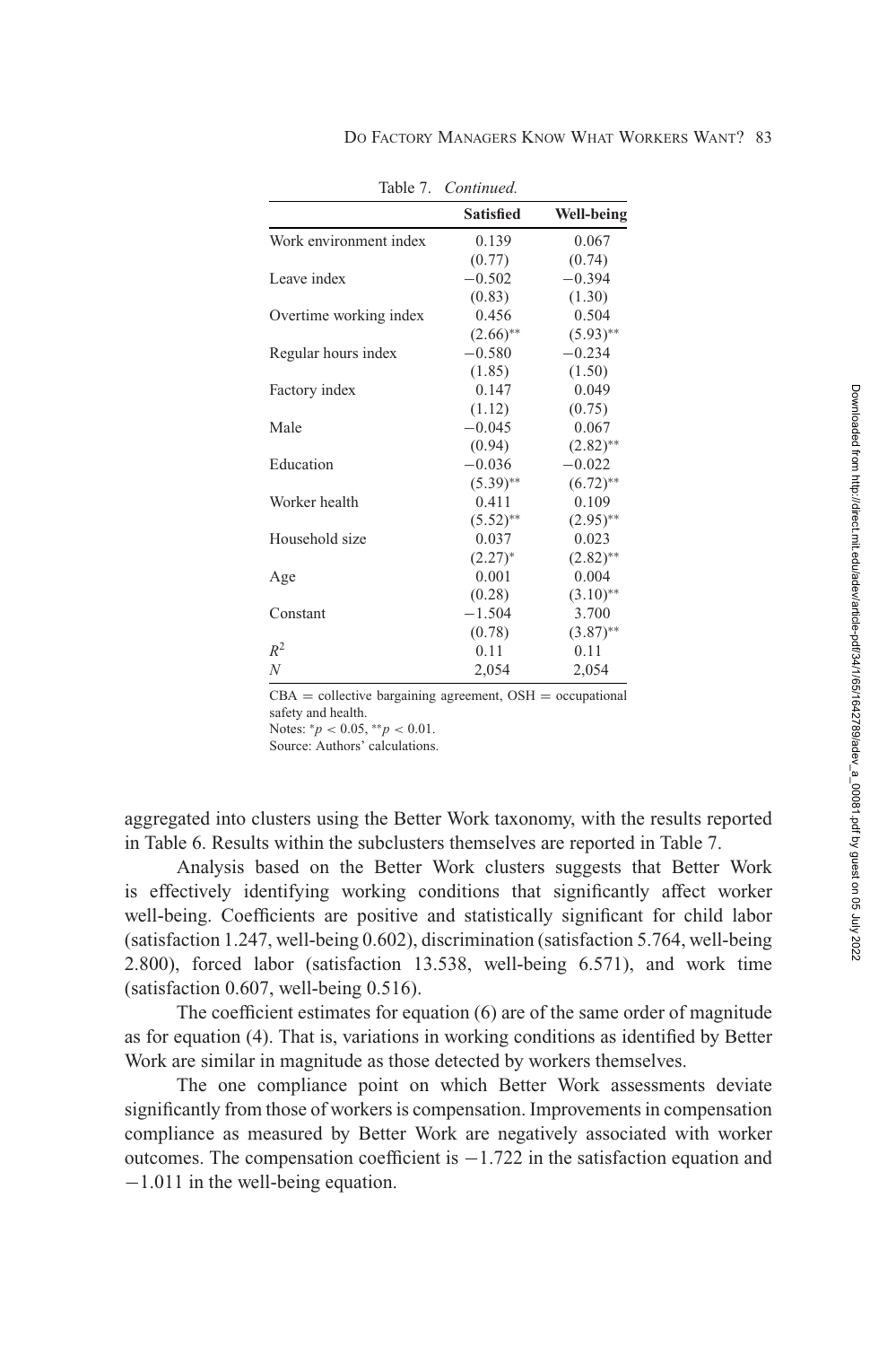| lable $\ell$ .         | Continued.       |             |
|------------------------|------------------|-------------|
|                        | <b>Satisfied</b> | Well-being  |
| Work environment index | 0.139            | 0.067       |
|                        | (0.77)           | (0.74)      |
| Leave index            | $-0.502$         | $-0.394$    |
|                        | (0.83)           | (1.30)      |
| Overtime working index | 0.456            | 0.504       |
|                        | $(2.66)$ **      | $(5.93)$ ** |
| Regular hours index    | $-0.580$         | $-0.234$    |
|                        | (1.85)           | (1.50)      |
| Factory index          | 0.147            | 0.049       |
|                        | (1.12)           | (0.75)      |
| Male                   | $-0.045$         | 0.067       |
|                        | (0.94)           | $(2.82)$ ** |
| Education              | $-0.036$         | $-0.022$    |
|                        | $(5.39)$ **      | $(6.72)$ ** |
| Worker health          | 0.411            | 0.109       |
|                        | $(5.52)$ **      | $(2.95)$ ** |
| Household size         | 0.037            | 0.023       |
|                        | $(2.27)^*$       | $(2.82)$ ** |
| Age                    | 0.001            | 0.004       |
|                        | (0.28)           | $(3.10)$ ** |
| Constant               | $-1.504$         | 3.700       |
|                        | (0.78)           | $(3.87)$ ** |
| $R^2$                  | 0.11             | 0.11        |
| N                      | 2,054            | 2,054       |

DO FACTORY MANAGERS KNOW WHAT WORKERS WANT? 83

Table 7. *Continued.*

 $CBA = collective$  bargaining agreement,  $OSH = occupational$ safety and health.

Notes: <sup>∗</sup>*p* < 0.05, ∗∗*p* < 0.01. Source: Authors' calculations.

aggregated into clusters using the Better Work taxonomy, with the results reported in Table 6. Results within the subclusters themselves are reported in Table 7.

Analysis based on the Better Work clusters suggests that Better Work is effectively identifying working conditions that significantly affect worker well-being. Coefficients are positive and statistically significant for child labor (satisfaction 1.247, well-being 0.602), discrimination (satisfaction 5.764, well-being 2.800), forced labor (satisfaction 13.538, well-being 6.571), and work time (satisfaction 0.607, well-being 0.516).

The coefficient estimates for equation (6) are of the same order of magnitude as for equation (4). That is, variations in working conditions as identified by Better Work are similar in magnitude as those detected by workers themselves.

The one compliance point on which Better Work assessments deviate significantly from those of workers is compensation. Improvements in compensation compliance as measured by Better Work are negatively associated with worker outcomes. The compensation coefficient is −1.722 in the satisfaction equation and −1.011 in the well-being equation.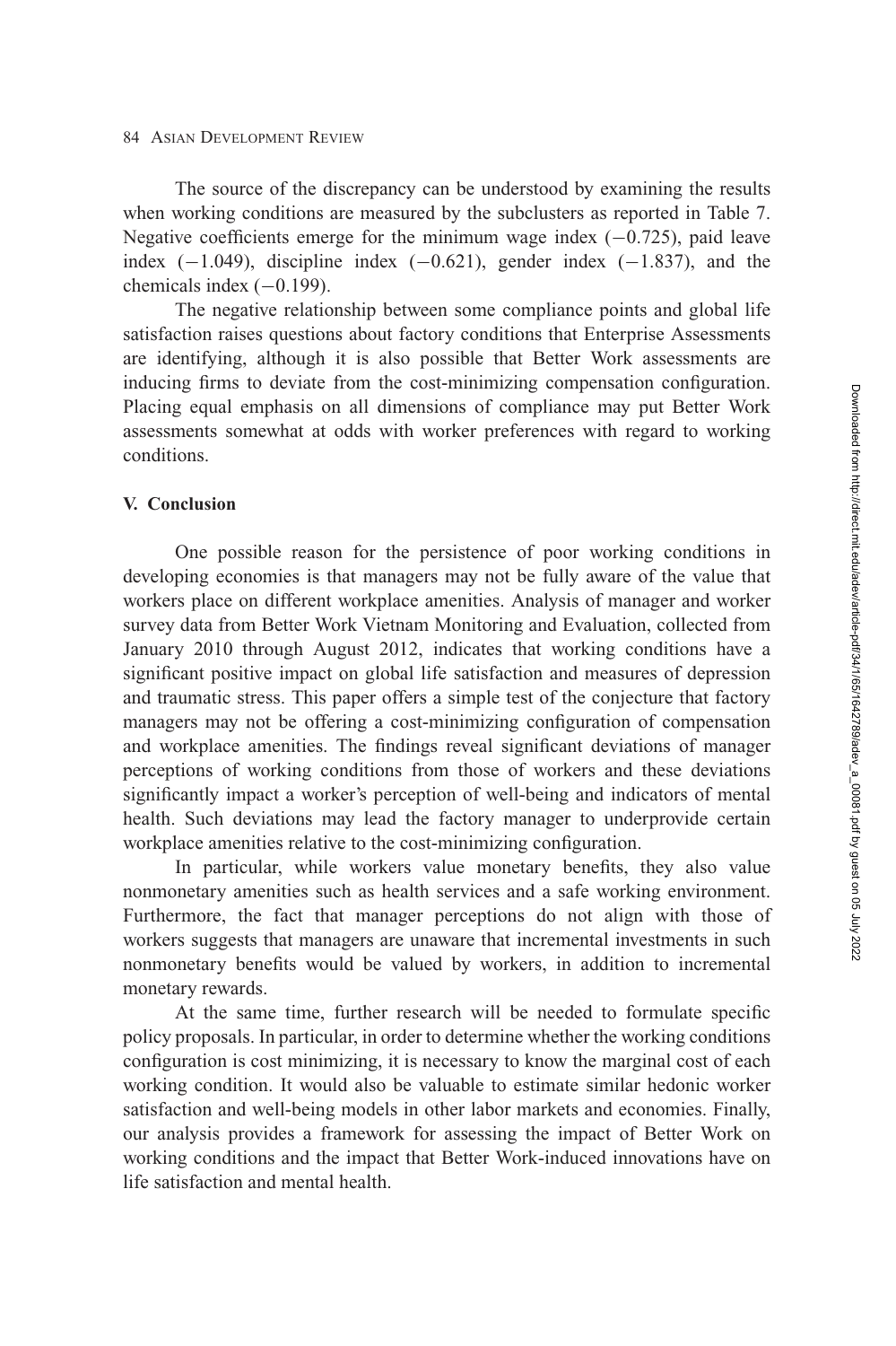The source of the discrepancy can be understood by examining the results when working conditions are measured by the subclusters as reported in Table 7. Negative coefficients emerge for the minimum wage index (−0.725), paid leave index  $(-1.049)$ , discipline index  $(-0.621)$ , gender index  $(-1.837)$ , and the chemicals index  $(-0.199)$ .

The negative relationship between some compliance points and global life satisfaction raises questions about factory conditions that Enterprise Assessments are identifying, although it is also possible that Better Work assessments are inducing firms to deviate from the cost-minimizing compensation configuration. Placing equal emphasis on all dimensions of compliance may put Better Work assessments somewhat at odds with worker preferences with regard to working conditions.

# **V. Conclusion**

One possible reason for the persistence of poor working conditions in developing economies is that managers may not be fully aware of the value that workers place on different workplace amenities. Analysis of manager and worker survey data from Better Work Vietnam Monitoring and Evaluation, collected from January 2010 through August 2012, indicates that working conditions have a significant positive impact on global life satisfaction and measures of depression and traumatic stress. This paper offers a simple test of the conjecture that factory managers may not be offering a cost-minimizing configuration of compensation and workplace amenities. The findings reveal significant deviations of manager perceptions of working conditions from those of workers and these deviations significantly impact a worker's perception of well-being and indicators of mental health. Such deviations may lead the factory manager to underprovide certain workplace amenities relative to the cost-minimizing configuration.

In particular, while workers value monetary benefits, they also value nonmonetary amenities such as health services and a safe working environment. Furthermore, the fact that manager perceptions do not align with those of workers suggests that managers are unaware that incremental investments in such nonmonetary benefits would be valued by workers, in addition to incremental monetary rewards.

At the same time, further research will be needed to formulate specific policy proposals. In particular, in order to determine whether the working conditions configuration is cost minimizing, it is necessary to know the marginal cost of each working condition. It would also be valuable to estimate similar hedonic worker satisfaction and well-being models in other labor markets and economies. Finally, our analysis provides a framework for assessing the impact of Better Work on working conditions and the impact that Better Work-induced innovations have on life satisfaction and mental health.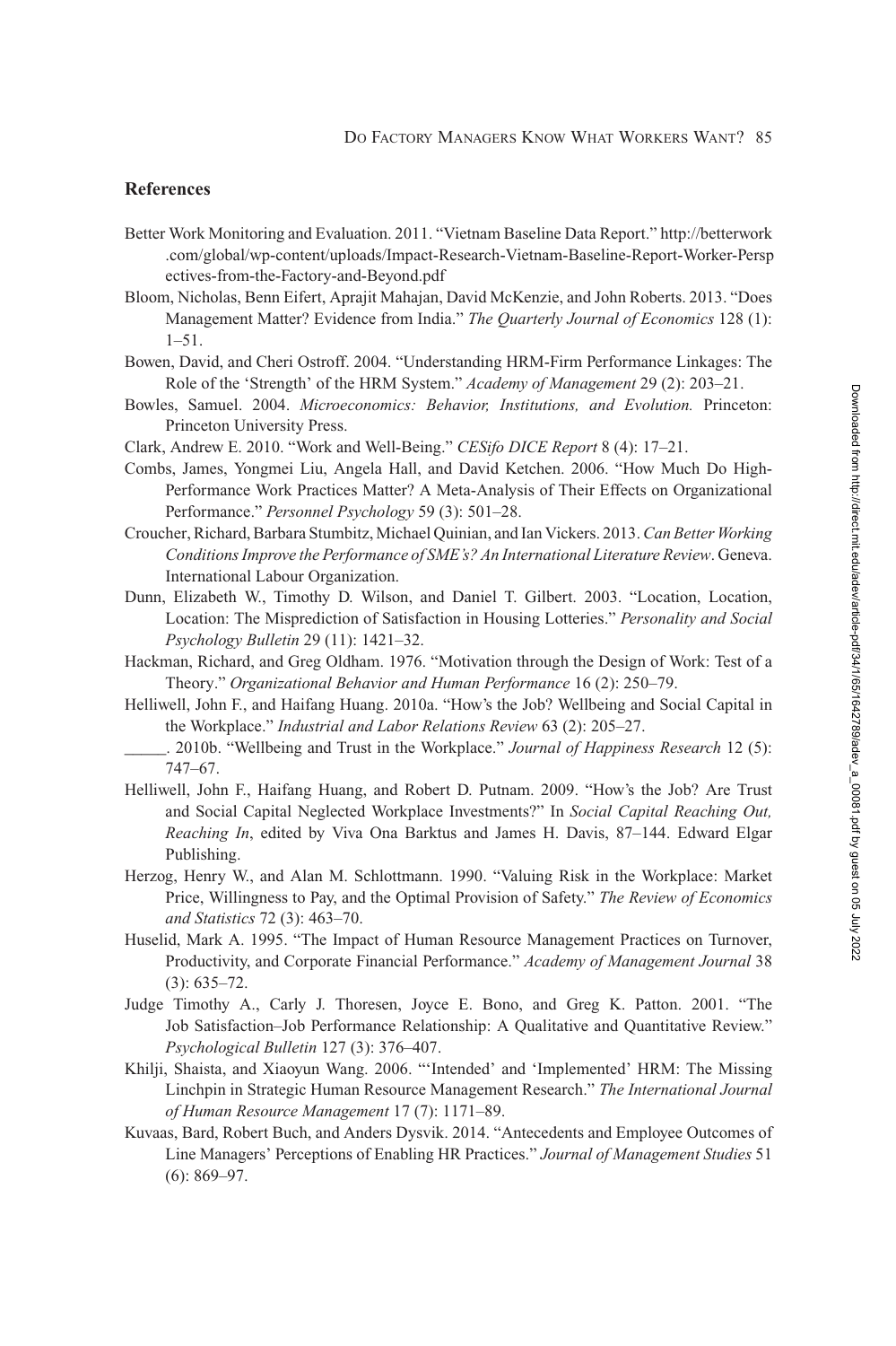#### **References**

- Better Work Monitoring and Evaluation. 2011. "Vietnam Baseline Data Report." http://betterwork .com/global/wp-content/uploads/Impact-[Research-Vietnam-Baseline-Rep](http://betterwork.com/global/wp-content/uploads/Impact-Research-Vietnam-Baseline-Report-Worker-Perspectives-from-the-Factory-and-Beyond.pdf)ort-Worker-Persp ectives-from-the-Factory-and-Beyond.pdf
- Bloom, Nicholas, Benn Eifert, Aprajit Mahajan, David McKenzie, and John Roberts. 2013. "Does Management Matter? Evidence from India." *The Quarterly Journal of Economics* 128 (1): 1–51.
- Bowen, David, and Cheri Ostroff. 2004. "Understanding HRM-Firm Performance Linkages: The Role of the 'Strength' of the HRM System." *Academy of Management* 29 (2): 203–21.
- Bowles, Samuel. 2004. *Microeconomics: Behavior, Institutions, and Evolution.* Princeton: Princeton University Press.
- Clark, Andrew E. 2010. "Work and Well-Being." *CESifo DICE Report* 8 (4): 17–21.
- Combs, James, Yongmei Liu, Angela Hall, and David Ketchen. 2006. "How Much Do High-Performance Work Practices Matter? A Meta-Analysis of Their Effects on Organizational Performance." *Personnel Psychology* 59 (3): 501–28.
- Croucher, Richard, Barbara Stumbitz, Michael Quinian, and Ian Vickers. 2013.*Can Better Working Conditions Improve the Performance of SME's? An International Literature Review*. Geneva. International Labour Organization.
- Dunn, Elizabeth W., Timothy D. Wilson, and Daniel T. Gilbert. 2003. "Location, Location, Location: The Misprediction of Satisfaction in Housing Lotteries." *Personality and Social Psychology Bulletin* 29 (11): 1421–32.
- Hackman, Richard, and Greg Oldham. 1976. "Motivation through the Design of Work: Test of a Theory." *Organizational Behavior and Human Performance* 16 (2): 250–79.
- Helliwell, John F., and Haifang Huang. 2010a. "How's the Job? Wellbeing and Social Capital in the Workplace." *Industrial and Labor Relations Review* 63 (2): 205–27.
	- \_\_\_\_\_. 2010b. "Wellbeing and Trust in the Workplace." *Journal of Happiness Research* 12 (5): 747–67.
- Helliwell, John F., Haifang Huang, and Robert D. Putnam. 2009. "How's the Job? Are Trust and Social Capital Neglected Workplace Investments?" In *Social Capital Reaching Out, Reaching In*, edited by Viva Ona Barktus and James H. Davis, 87–144. Edward Elgar Publishing.
- Herzog, Henry W., and Alan M. Schlottmann. 1990. "Valuing Risk in the Workplace: Market Price, Willingness to Pay, and the Optimal Provision of Safety." *The Review of Economics and Statistics* 72 (3): 463–70.
- Huselid, Mark A. 1995. "The Impact of Human Resource Management Practices on Turnover, Productivity, and Corporate Financial Performance." *Academy of Management Journal* 38 (3): 635–72.
- Judge Timothy A., Carly J. Thoresen, Joyce E. Bono, and Greg K. Patton. 2001. "The Job Satisfaction–Job Performance Relationship: A Qualitative and Quantitative Review." *Psychological Bulletin* 127 (3): 376–407.
- Khilji, Shaista, and Xiaoyun Wang. 2006. "'Intended' and 'Implemented' HRM: The Missing Linchpin in Strategic Human Resource Management Research." *The International Journal of Human Resource Management* 17 (7): 1171–89.
- Kuvaas, Bard, Robert Buch, and Anders Dysvik. 2014. "Antecedents and Employee Outcomes of Line Managers' Perceptions of Enabling HR Practices." *Journal of Management Studies* 51 (6): 869–97.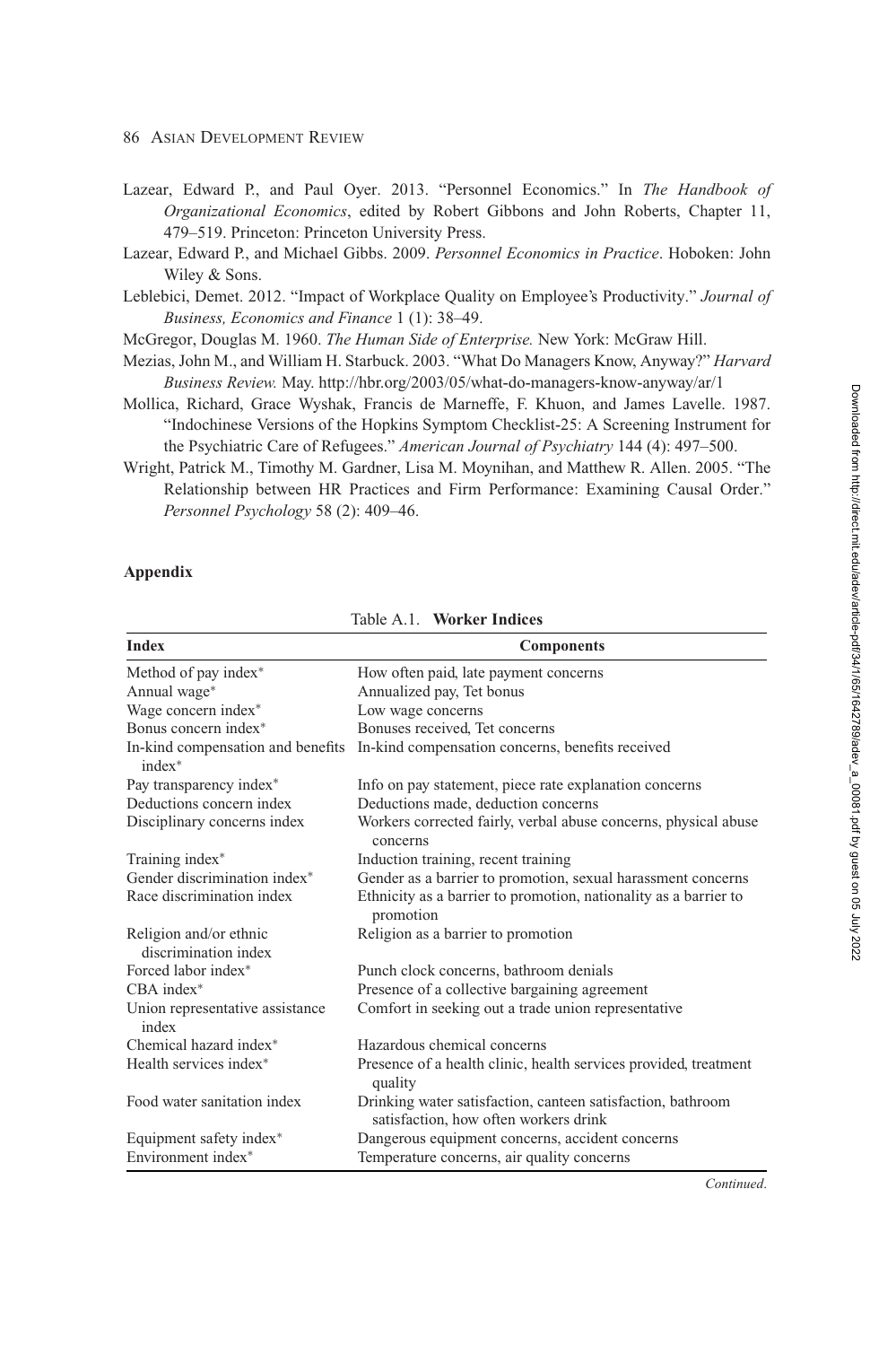#### 86 ASIAN DEVELOPMENT REVIEW

- Lazear, Edward P., and Paul Oyer. 2013. "Personnel Economics." In *The Handbook of Organizational Economics*, edited by Robert Gibbons and John Roberts, Chapter 11, 479–519. Princeton: Princeton University Press.
- Lazear, Edward P., and Michael Gibbs. 2009. *Personnel Economics in Practice*. Hoboken: John Wiley & Sons.
- Leblebici, Demet. 2012. "Impact of Workplace Quality on Employee's Productivity." *Journal of Business, Economics and Finance* 1 (1): 38–49.

McGregor, Douglas M. 1960. *The Human Side of Enterprise.* New York: McGraw Hill.

- Mezias, John M., and William H. Starbuck. 2003. "What Do Managers Know, Anyway?" *Harvard Business Review.* May.<http://hbr.org/2003/05/what-do-managers-know-anyway/ar/1>
- Mollica, Richard, Grace Wyshak, Francis de Marneffe, F. Khuon, and James Lavelle. 1987. "Indochinese Versions of the Hopkins Symptom Checklist-25: A Screening Instrument for the Psychiatric Care of Refugees." *American Journal of Psychiatry* 144 (4): 497–500.
- Wright, Patrick M., Timothy M. Gardner, Lisa M. Moynihan, and Matthew R. Allen. 2005. "The Relationship between HR Practices and Firm Performance: Examining Causal Order." *Personnel Psychology* 58 (2): 409–46.

#### **Appendix**

| <b>Index</b>                                   | <b>Components</b>                                                                                    |
|------------------------------------------------|------------------------------------------------------------------------------------------------------|
| Method of pay index*                           | How often paid, late payment concerns                                                                |
| Annual wage*                                   | Annualized pay, Tet bonus                                                                            |
| Wage concern index*                            | Low wage concerns                                                                                    |
| Bonus concern index*                           | Bonuses received, Tet concerns                                                                       |
| In-kind compensation and benefits<br>index*    | In-kind compensation concerns, benefits received                                                     |
| Pay transparency index*                        | Info on pay statement, piece rate explanation concerns                                               |
| Deductions concern index                       | Deductions made, deduction concerns                                                                  |
| Disciplinary concerns index                    | Workers corrected fairly, verbal abuse concerns, physical abuse<br>concerns                          |
| Training index*                                | Induction training, recent training                                                                  |
| Gender discrimination index*                   | Gender as a barrier to promotion, sexual harassment concerns                                         |
| Race discrimination index                      | Ethnicity as a barrier to promotion, nationality as a barrier to<br>promotion                        |
| Religion and/or ethnic<br>discrimination index | Religion as a barrier to promotion                                                                   |
| Forced labor index*                            | Punch clock concerns, bathroom denials                                                               |
| $CBA$ index $*$                                | Presence of a collective bargaining agreement                                                        |
| Union representative assistance<br>index       | Comfort in seeking out a trade union representative                                                  |
| Chemical hazard index*                         | Hazardous chemical concerns                                                                          |
| Health services index*                         | Presence of a health clinic, health services provided, treatment<br>quality                          |
| Food water sanitation index                    | Drinking water satisfaction, canteen satisfaction, bathroom<br>satisfaction, how often workers drink |
| Equipment safety index*                        | Dangerous equipment concerns, accident concerns                                                      |
| Environment index*                             | Temperature concerns, air quality concerns                                                           |

Table A.1. **Worker Indices**

*Continued*.